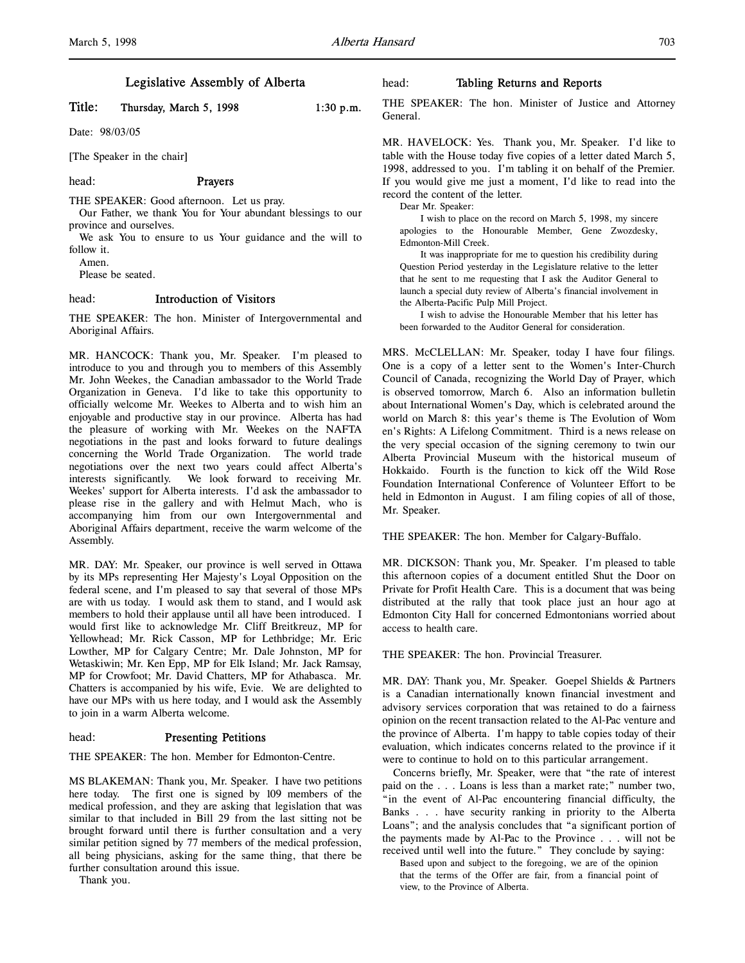# Legislative Assembly of Alberta

# Title: Thursday, March 5, 1998 1:30 p.m.

Date: 98/03/05

[The Speaker in the chair]

## head: Prayers

THE SPEAKER: Good afternoon. Let us pray.

Our Father, we thank You for Your abundant blessings to our province and ourselves.

We ask You to ensure to us Your guidance and the will to follow it.

Amen.

Please be seated.

# head: Introduction of Visitors

THE SPEAKER: The hon. Minister of Intergovernmental and Aboriginal Affairs.

MR. HANCOCK: Thank you, Mr. Speaker. I'm pleased to introduce to you and through you to members of this Assembly Mr. John Weekes, the Canadian ambassador to the World Trade Organization in Geneva. I'd like to take this opportunity to officially welcome Mr. Weekes to Alberta and to wish him an enjoyable and productive stay in our province. Alberta has had the pleasure of working with Mr. Weekes on the NAFTA negotiations in the past and looks forward to future dealings concerning the World Trade Organization. The world trade negotiations over the next two years could affect Alberta's interests significantly. We look forward to receiving Mr. Weekes' support for Alberta interests. I'd ask the ambassador to please rise in the gallery and with Helmut Mach, who is accompanying him from our own Intergovernmental and Aboriginal Affairs department, receive the warm welcome of the Assembly.

MR. DAY: Mr. Speaker, our province is well served in Ottawa by its MPs representing Her Majesty's Loyal Opposition on the federal scene, and I'm pleased to say that several of those MPs are with us today. I would ask them to stand, and I would ask members to hold their applause until all have been introduced. I would first like to acknowledge Mr. Cliff Breitkreuz, MP for Yellowhead; Mr. Rick Casson, MP for Lethbridge; Mr. Eric Lowther, MP for Calgary Centre; Mr. Dale Johnston, MP for Wetaskiwin; Mr. Ken Epp, MP for Elk Island; Mr. Jack Ramsay, MP for Crowfoot; Mr. David Chatters, MP for Athabasca. Mr. Chatters is accompanied by his wife, Evie. We are delighted to have our MPs with us here today, and I would ask the Assembly to join in a warm Alberta welcome.

# head: Presenting Petitions

THE SPEAKER: The hon. Member for Edmonton-Centre.

MS BLAKEMAN: Thank you, Mr. Speaker. I have two petitions here today. The first one is signed by 109 members of the medical profession, and they are asking that legislation that was similar to that included in Bill 29 from the last sitting not be brought forward until there is further consultation and a very similar petition signed by 77 members of the medical profession, all being physicians, asking for the same thing, that there be further consultation around this issue.

Thank you.

## head: Tabling Returns and Reports

THE SPEAKER: The hon. Minister of Justice and Attorney General.

MR. HAVELOCK: Yes. Thank you, Mr. Speaker. I'd like to table with the House today five copies of a letter dated March 5, 1998, addressed to you. I'm tabling it on behalf of the Premier. If you would give me just a moment, I'd like to read into the record the content of the letter.

Dear Mr. Speaker:

I wish to place on the record on March 5, 1998, my sincere apologies to the Honourable Member, Gene Zwozdesky, Edmonton-Mill Creek.

It was inappropriate for me to question his credibility during Question Period yesterday in the Legislature relative to the letter that he sent to me requesting that I ask the Auditor General to launch a special duty review of Alberta's financial involvement in the Alberta-Pacific Pulp Mill Project.

I wish to advise the Honourable Member that his letter has been forwarded to the Auditor General for consideration.

MRS. McCLELLAN: Mr. Speaker, today I have four filings. One is a copy of a letter sent to the Women's Inter-Church Council of Canada, recognizing the World Day of Prayer, which is observed tomorrow, March 6. Also an information bulletin about International Women's Day, which is celebrated around the world on March 8: this year's theme is The Evolution of Wom en's Rights: A Lifelong Commitment. Third is a news release on the very special occasion of the signing ceremony to twin our Alberta Provincial Museum with the historical museum of Hokkaido. Fourth is the function to kick off the Wild Rose Foundation International Conference of Volunteer Effort to be held in Edmonton in August. I am filing copies of all of those, Mr. Speaker.

THE SPEAKER: The hon. Member for Calgary-Buffalo.

MR. DICKSON: Thank you, Mr. Speaker. I'm pleased to table this afternoon copies of a document entitled Shut the Door on Private for Profit Health Care. This is a document that was being distributed at the rally that took place just an hour ago at Edmonton City Hall for concerned Edmontonians worried about access to health care.

THE SPEAKER: The hon. Provincial Treasurer.

MR. DAY: Thank you, Mr. Speaker. Goepel Shields & Partners is a Canadian internationally known financial investment and advisory services corporation that was retained to do a fairness opinion on the recent transaction related to the Al-Pac venture and the province of Alberta. I'm happy to table copies today of their evaluation, which indicates concerns related to the province if it were to continue to hold on to this particular arrangement.

Concerns briefly, Mr. Speaker, were that "the rate of interest paid on the . . . Loans is less than a market rate;" number two, "in the event of Al-Pac encountering financial difficulty, the Banks . . . have security ranking in priority to the Alberta Loans"; and the analysis concludes that "a significant portion of the payments made by Al-Pac to the Province . . . will not be received until well into the future." They conclude by saying:

Based upon and subject to the foregoing, we are of the opinion that the terms of the Offer are fair, from a financial point of view, to the Province of Alberta.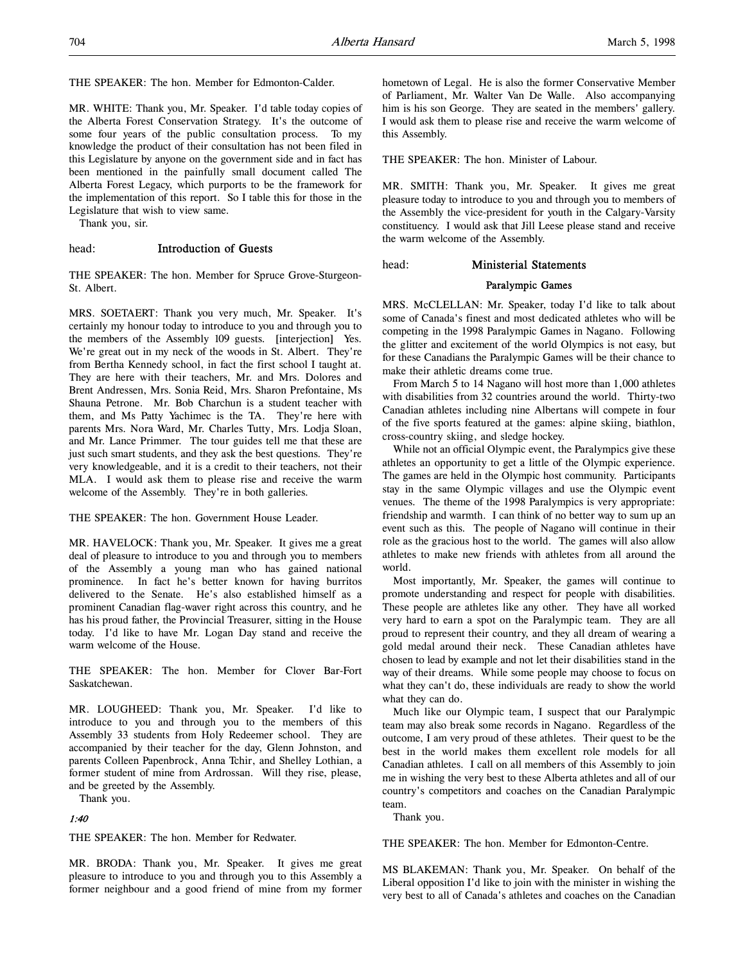THE SPEAKER: The hon. Member for Edmonton-Calder.

MR. WHITE: Thank you, Mr. Speaker. I'd table today copies of the Alberta Forest Conservation Strategy. It's the outcome of some four years of the public consultation process. To my knowledge the product of their consultation has not been filed in this Legislature by anyone on the government side and in fact has been mentioned in the painfully small document called The Alberta Forest Legacy, which purports to be the framework for the implementation of this report. So I table this for those in the Legislature that wish to view same.

Thank you, sir.

# head: Introduction of Guests

THE SPEAKER: The hon. Member for Spruce Grove-Sturgeon-St. Albert.

MRS. SOETAERT: Thank you very much, Mr. Speaker. It's certainly my honour today to introduce to you and through you to the members of the Assembly 109 guests. [interjection] Yes. We're great out in my neck of the woods in St. Albert. They're from Bertha Kennedy school, in fact the first school I taught at. They are here with their teachers, Mr. and Mrs. Dolores and Brent Andressen, Mrs. Sonia Reid, Mrs. Sharon Prefontaine, Ms Shauna Petrone. Mr. Bob Charchun is a student teacher with them, and Ms Patty Yachimec is the TA. They're here with parents Mrs. Nora Ward, Mr. Charles Tutty, Mrs. Lodja Sloan, and Mr. Lance Primmer. The tour guides tell me that these are just such smart students, and they ask the best questions. They're very knowledgeable, and it is a credit to their teachers, not their MLA. I would ask them to please rise and receive the warm welcome of the Assembly. They're in both galleries.

# THE SPEAKER: The hon. Government House Leader.

MR. HAVELOCK: Thank you, Mr. Speaker. It gives me a great deal of pleasure to introduce to you and through you to members of the Assembly a young man who has gained national prominence. In fact he's better known for having burritos delivered to the Senate. He's also established himself as a prominent Canadian flag-waver right across this country, and he has his proud father, the Provincial Treasurer, sitting in the House today. I'd like to have Mr. Logan Day stand and receive the warm welcome of the House.

THE SPEAKER: The hon. Member for Clover Bar-Fort Saskatchewan.

MR. LOUGHEED: Thank you, Mr. Speaker. I'd like to introduce to you and through you to the members of this Assembly 33 students from Holy Redeemer school. They are accompanied by their teacher for the day, Glenn Johnston, and parents Colleen Papenbrock, Anna Tchir, and Shelley Lothian, a former student of mine from Ardrossan. Will they rise, please, and be greeted by the Assembly.

Thank you.

# 1:40

THE SPEAKER: The hon. Member for Redwater.

MR. BRODA: Thank you, Mr. Speaker. It gives me great pleasure to introduce to you and through you to this Assembly a former neighbour and a good friend of mine from my former hometown of Legal. He is also the former Conservative Member of Parliament, Mr. Walter Van De Walle. Also accompanying him is his son George. They are seated in the members' gallery. I would ask them to please rise and receive the warm welcome of this Assembly.

THE SPEAKER: The hon. Minister of Labour.

MR. SMITH: Thank you, Mr. Speaker. It gives me great pleasure today to introduce to you and through you to members of the Assembly the vice-president for youth in the Calgary-Varsity constituency. I would ask that Jill Leese please stand and receive the warm welcome of the Assembly.

#### head: Ministerial Statements

#### Paralympic Games

MRS. McCLELLAN: Mr. Speaker, today I'd like to talk about some of Canada's finest and most dedicated athletes who will be competing in the 1998 Paralympic Games in Nagano. Following the glitter and excitement of the world Olympics is not easy, but for these Canadians the Paralympic Games will be their chance to make their athletic dreams come true.

From March 5 to 14 Nagano will host more than 1,000 athletes with disabilities from 32 countries around the world. Thirty-two Canadian athletes including nine Albertans will compete in four of the five sports featured at the games: alpine skiing, biathlon, cross-country skiing, and sledge hockey.

While not an official Olympic event, the Paralympics give these athletes an opportunity to get a little of the Olympic experience. The games are held in the Olympic host community. Participants stay in the same Olympic villages and use the Olympic event venues. The theme of the 1998 Paralympics is very appropriate: friendship and warmth. I can think of no better way to sum up an event such as this. The people of Nagano will continue in their role as the gracious host to the world. The games will also allow athletes to make new friends with athletes from all around the world.

Most importantly, Mr. Speaker, the games will continue to promote understanding and respect for people with disabilities. These people are athletes like any other. They have all worked very hard to earn a spot on the Paralympic team. They are all proud to represent their country, and they all dream of wearing a gold medal around their neck. These Canadian athletes have chosen to lead by example and not let their disabilities stand in the way of their dreams. While some people may choose to focus on what they can't do, these individuals are ready to show the world what they can do.

Much like our Olympic team, I suspect that our Paralympic team may also break some records in Nagano. Regardless of the outcome, I am very proud of these athletes. Their quest to be the best in the world makes them excellent role models for all Canadian athletes. I call on all members of this Assembly to join me in wishing the very best to these Alberta athletes and all of our country's competitors and coaches on the Canadian Paralympic team.

Thank you.

THE SPEAKER: The hon. Member for Edmonton-Centre.

MS BLAKEMAN: Thank you, Mr. Speaker. On behalf of the Liberal opposition I'd like to join with the minister in wishing the very best to all of Canada's athletes and coaches on the Canadian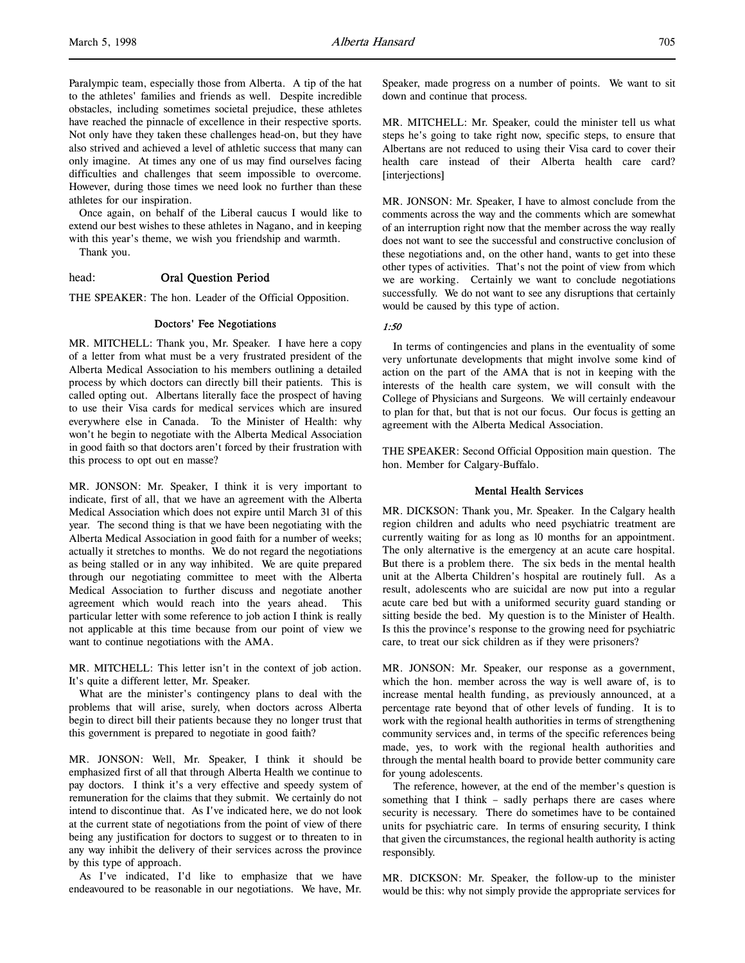Paralympic team, especially those from Alberta. A tip of the hat to the athletes' families and friends as well. Despite incredible obstacles, including sometimes societal prejudice, these athletes have reached the pinnacle of excellence in their respective sports. Not only have they taken these challenges head-on, but they have also strived and achieved a level of athletic success that many can only imagine. At times any one of us may find ourselves facing difficulties and challenges that seem impossible to overcome. However, during those times we need look no further than these athletes for our inspiration.

Once again, on behalf of the Liberal caucus I would like to extend our best wishes to these athletes in Nagano, and in keeping with this year's theme, we wish you friendship and warmth. Thank you.

# head: Oral Question Period

THE SPEAKER: The hon. Leader of the Official Opposition.

# Doctors' Fee Negotiations

MR. MITCHELL: Thank you, Mr. Speaker. I have here a copy of a letter from what must be a very frustrated president of the Alberta Medical Association to his members outlining a detailed process by which doctors can directly bill their patients. This is called opting out. Albertans literally face the prospect of having to use their Visa cards for medical services which are insured everywhere else in Canada. To the Minister of Health: why won't he begin to negotiate with the Alberta Medical Association in good faith so that doctors aren't forced by their frustration with this process to opt out en masse?

MR. JONSON: Mr. Speaker, I think it is very important to indicate, first of all, that we have an agreement with the Alberta Medical Association which does not expire until March 31 of this year. The second thing is that we have been negotiating with the Alberta Medical Association in good faith for a number of weeks; actually it stretches to months. We do not regard the negotiations as being stalled or in any way inhibited. We are quite prepared through our negotiating committee to meet with the Alberta Medical Association to further discuss and negotiate another agreement which would reach into the years ahead. This particular letter with some reference to job action I think is really not applicable at this time because from our point of view we want to continue negotiations with the AMA.

MR. MITCHELL: This letter isn't in the context of job action. It's quite a different letter, Mr. Speaker.

What are the minister's contingency plans to deal with the problems that will arise, surely, when doctors across Alberta begin to direct bill their patients because they no longer trust that this government is prepared to negotiate in good faith?

MR. JONSON: Well, Mr. Speaker, I think it should be emphasized first of all that through Alberta Health we continue to pay doctors. I think it's a very effective and speedy system of remuneration for the claims that they submit. We certainly do not intend to discontinue that. As I've indicated here, we do not look at the current state of negotiations from the point of view of there being any justification for doctors to suggest or to threaten to in any way inhibit the delivery of their services across the province by this type of approach.

As I've indicated, I'd like to emphasize that we have endeavoured to be reasonable in our negotiations. We have, Mr.

Speaker, made progress on a number of points. We want to sit down and continue that process.

MR. MITCHELL: Mr. Speaker, could the minister tell us what steps he's going to take right now, specific steps, to ensure that Albertans are not reduced to using their Visa card to cover their health care instead of their Alberta health care card? [interjections]

MR. JONSON: Mr. Speaker, I have to almost conclude from the comments across the way and the comments which are somewhat of an interruption right now that the member across the way really does not want to see the successful and constructive conclusion of these negotiations and, on the other hand, wants to get into these other types of activities. That's not the point of view from which we are working. Certainly we want to conclude negotiations successfully. We do not want to see any disruptions that certainly would be caused by this type of action.

# 1:50

In terms of contingencies and plans in the eventuality of some very unfortunate developments that might involve some kind of action on the part of the AMA that is not in keeping with the interests of the health care system, we will consult with the College of Physicians and Surgeons. We will certainly endeavour to plan for that, but that is not our focus. Our focus is getting an agreement with the Alberta Medical Association.

THE SPEAKER: Second Official Opposition main question. The hon. Member for Calgary-Buffalo.

# Mental Health Services

MR. DICKSON: Thank you, Mr. Speaker. In the Calgary health region children and adults who need psychiatric treatment are currently waiting for as long as 10 months for an appointment. The only alternative is the emergency at an acute care hospital. But there is a problem there. The six beds in the mental health unit at the Alberta Children's hospital are routinely full. As a result, adolescents who are suicidal are now put into a regular acute care bed but with a uniformed security guard standing or sitting beside the bed. My question is to the Minister of Health. Is this the province's response to the growing need for psychiatric care, to treat our sick children as if they were prisoners?

MR. JONSON: Mr. Speaker, our response as a government, which the hon. member across the way is well aware of, is to increase mental health funding, as previously announced, at a percentage rate beyond that of other levels of funding. It is to work with the regional health authorities in terms of strengthening community services and, in terms of the specific references being made, yes, to work with the regional health authorities and through the mental health board to provide better community care for young adolescents.

The reference, however, at the end of the member's question is something that I think – sadly perhaps there are cases where security is necessary. There do sometimes have to be contained units for psychiatric care. In terms of ensuring security, I think that given the circumstances, the regional health authority is acting responsibly.

MR. DICKSON: Mr. Speaker, the follow-up to the minister would be this: why not simply provide the appropriate services for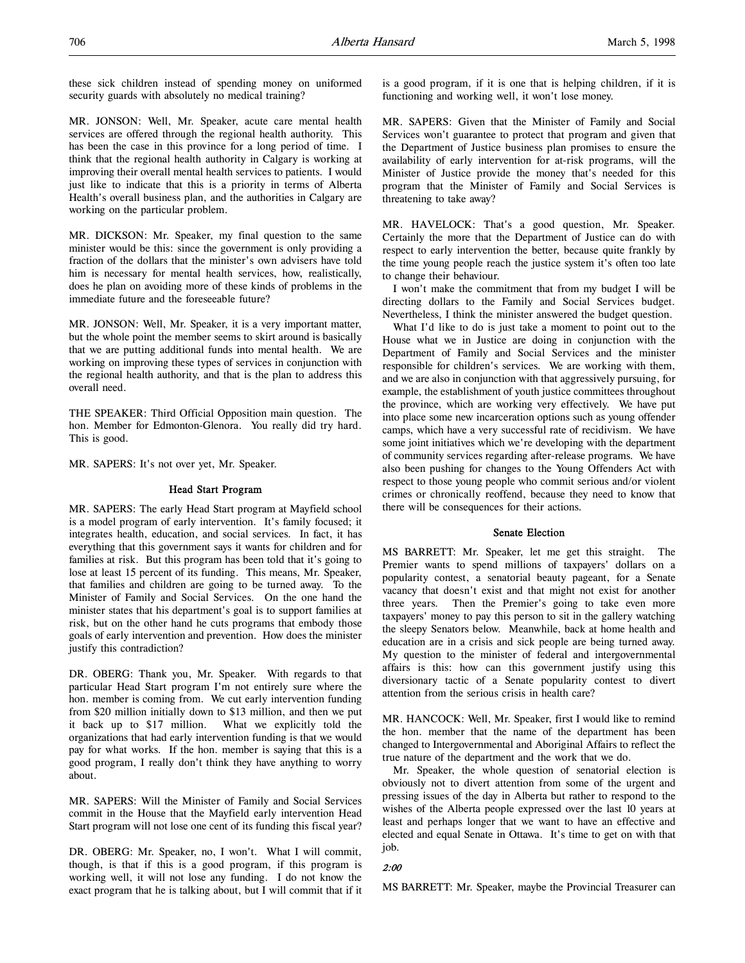these sick children instead of spending money on uniformed security guards with absolutely no medical training?

MR. JONSON: Well, Mr. Speaker, acute care mental health services are offered through the regional health authority. This has been the case in this province for a long period of time. I think that the regional health authority in Calgary is working at improving their overall mental health services to patients. I would just like to indicate that this is a priority in terms of Alberta Health's overall business plan, and the authorities in Calgary are working on the particular problem.

MR. DICKSON: Mr. Speaker, my final question to the same minister would be this: since the government is only providing a fraction of the dollars that the minister's own advisers have told him is necessary for mental health services, how, realistically, does he plan on avoiding more of these kinds of problems in the immediate future and the foreseeable future?

MR. JONSON: Well, Mr. Speaker, it is a very important matter, but the whole point the member seems to skirt around is basically that we are putting additional funds into mental health. We are working on improving these types of services in conjunction with the regional health authority, and that is the plan to address this overall need.

THE SPEAKER: Third Official Opposition main question. The hon. Member for Edmonton-Glenora. You really did try hard. This is good.

MR. SAPERS: It's not over yet, Mr. Speaker.

#### Head Start Program

MR. SAPERS: The early Head Start program at Mayfield school is a model program of early intervention. It's family focused; it integrates health, education, and social services. In fact, it has everything that this government says it wants for children and for families at risk. But this program has been told that it's going to lose at least 15 percent of its funding. This means, Mr. Speaker, that families and children are going to be turned away. To the Minister of Family and Social Services. On the one hand the minister states that his department's goal is to support families at risk, but on the other hand he cuts programs that embody those goals of early intervention and prevention. How does the minister justify this contradiction?

DR. OBERG: Thank you, Mr. Speaker. With regards to that particular Head Start program I'm not entirely sure where the hon. member is coming from. We cut early intervention funding from \$20 million initially down to \$13 million, and then we put it back up to \$17 million. What we explicitly told the organizations that had early intervention funding is that we would pay for what works. If the hon. member is saying that this is a good program, I really don't think they have anything to worry about.

MR. SAPERS: Will the Minister of Family and Social Services commit in the House that the Mayfield early intervention Head Start program will not lose one cent of its funding this fiscal year?

DR. OBERG: Mr. Speaker, no, I won't. What I will commit, though, is that if this is a good program, if this program is working well, it will not lose any funding. I do not know the exact program that he is talking about, but I will commit that if it is a good program, if it is one that is helping children, if it is functioning and working well, it won't lose money.

MR. SAPERS: Given that the Minister of Family and Social Services won't guarantee to protect that program and given that the Department of Justice business plan promises to ensure the availability of early intervention for at-risk programs, will the Minister of Justice provide the money that's needed for this program that the Minister of Family and Social Services is threatening to take away?

MR. HAVELOCK: That's a good question, Mr. Speaker. Certainly the more that the Department of Justice can do with respect to early intervention the better, because quite frankly by the time young people reach the justice system it's often too late to change their behaviour.

I won't make the commitment that from my budget I will be directing dollars to the Family and Social Services budget. Nevertheless, I think the minister answered the budget question.

What I'd like to do is just take a moment to point out to the House what we in Justice are doing in conjunction with the Department of Family and Social Services and the minister responsible for children's services. We are working with them, and we are also in conjunction with that aggressively pursuing, for example, the establishment of youth justice committees throughout the province, which are working very effectively. We have put into place some new incarceration options such as young offender camps, which have a very successful rate of recidivism. We have some joint initiatives which we're developing with the department of community services regarding after-release programs. We have also been pushing for changes to the Young Offenders Act with respect to those young people who commit serious and/or violent crimes or chronically reoffend, because they need to know that there will be consequences for their actions.

#### Senate Election

MS BARRETT: Mr. Speaker, let me get this straight. The Premier wants to spend millions of taxpayers' dollars on a popularity contest, a senatorial beauty pageant, for a Senate vacancy that doesn't exist and that might not exist for another three years. Then the Premier's going to take even more taxpayers' money to pay this person to sit in the gallery watching the sleepy Senators below. Meanwhile, back at home health and education are in a crisis and sick people are being turned away. My question to the minister of federal and intergovernmental affairs is this: how can this government justify using this diversionary tactic of a Senate popularity contest to divert attention from the serious crisis in health care?

MR. HANCOCK: Well, Mr. Speaker, first I would like to remind the hon. member that the name of the department has been changed to Intergovernmental and Aboriginal Affairs to reflect the true nature of the department and the work that we do.

Mr. Speaker, the whole question of senatorial election is obviously not to divert attention from some of the urgent and pressing issues of the day in Alberta but rather to respond to the wishes of the Alberta people expressed over the last 10 years at least and perhaps longer that we want to have an effective and elected and equal Senate in Ottawa. It's time to get on with that job.

#### 2:00

MS BARRETT: Mr. Speaker, maybe the Provincial Treasurer can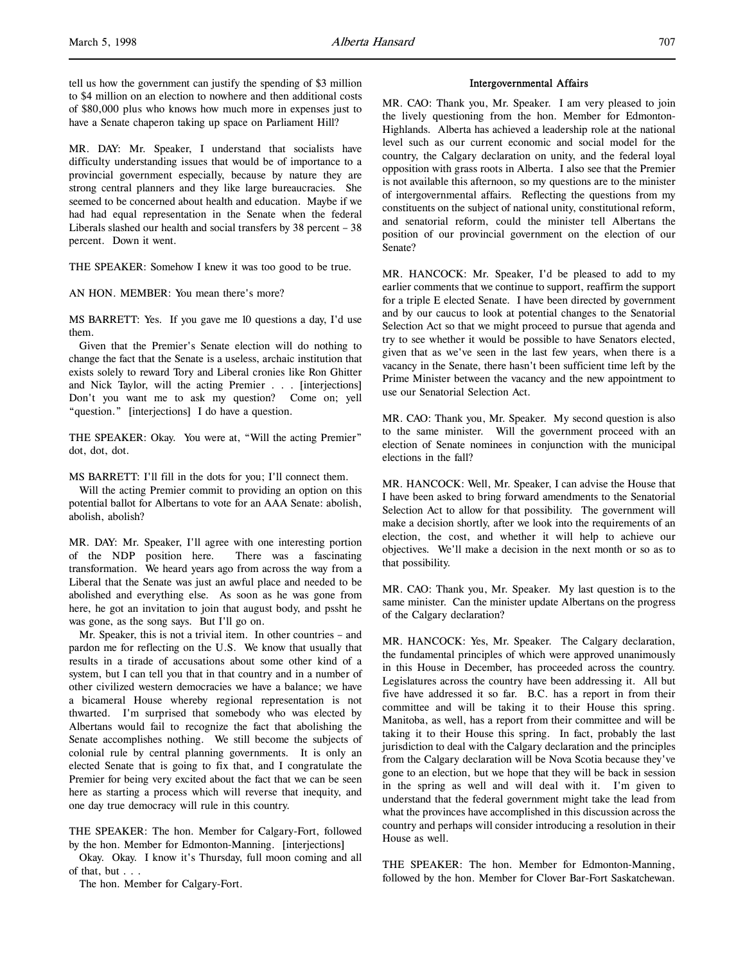tell us how the government can justify the spending of \$3 million to \$4 million on an election to nowhere and then additional costs of \$80,000 plus who knows how much more in expenses just to have a Senate chaperon taking up space on Parliament Hill?

MR. DAY: Mr. Speaker, I understand that socialists have difficulty understanding issues that would be of importance to a provincial government especially, because by nature they are strong central planners and they like large bureaucracies. She seemed to be concerned about health and education. Maybe if we had had equal representation in the Senate when the federal Liberals slashed our health and social transfers by 38 percent – 38 percent. Down it went.

THE SPEAKER: Somehow I knew it was too good to be true.

AN HON. MEMBER: You mean there's more?

MS BARRETT: Yes. If you gave me 10 questions a day, I'd use them.

Given that the Premier's Senate election will do nothing to change the fact that the Senate is a useless, archaic institution that exists solely to reward Tory and Liberal cronies like Ron Ghitter and Nick Taylor, will the acting Premier . . . [interjections] Don't you want me to ask my question? Come on; yell "question." [interjections] I do have a question.

THE SPEAKER: Okay. You were at, "Will the acting Premier" dot, dot, dot.

MS BARRETT: I'll fill in the dots for you; I'll connect them.

Will the acting Premier commit to providing an option on this potential ballot for Albertans to vote for an AAA Senate: abolish, abolish, abolish?

MR. DAY: Mr. Speaker, I'll agree with one interesting portion of the NDP position here. There was a fascinating transformation. We heard years ago from across the way from a Liberal that the Senate was just an awful place and needed to be abolished and everything else. As soon as he was gone from here, he got an invitation to join that august body, and pssht he was gone, as the song says. But I'll go on.

Mr. Speaker, this is not a trivial item. In other countries – and pardon me for reflecting on the U.S. We know that usually that results in a tirade of accusations about some other kind of a system, but I can tell you that in that country and in a number of other civilized western democracies we have a balance; we have a bicameral House whereby regional representation is not thwarted. I'm surprised that somebody who was elected by Albertans would fail to recognize the fact that abolishing the Senate accomplishes nothing. We still become the subjects of colonial rule by central planning governments. It is only an elected Senate that is going to fix that, and I congratulate the Premier for being very excited about the fact that we can be seen here as starting a process which will reverse that inequity, and one day true democracy will rule in this country.

THE SPEAKER: The hon. Member for Calgary-Fort, followed by the hon. Member for Edmonton-Manning. [interjections]

Okay. Okay. I know it's Thursday, full moon coming and all of that, but . . .

The hon. Member for Calgary-Fort.

#### Intergovernmental Affairs

MR. CAO: Thank you, Mr. Speaker. I am very pleased to join the lively questioning from the hon. Member for Edmonton-Highlands. Alberta has achieved a leadership role at the national level such as our current economic and social model for the country, the Calgary declaration on unity, and the federal loyal opposition with grass roots in Alberta. I also see that the Premier is not available this afternoon, so my questions are to the minister of intergovernmental affairs. Reflecting the questions from my constituents on the subject of national unity, constitutional reform, and senatorial reform, could the minister tell Albertans the position of our provincial government on the election of our Senate?

MR. HANCOCK: Mr. Speaker, I'd be pleased to add to my earlier comments that we continue to support, reaffirm the support for a triple E elected Senate. I have been directed by government and by our caucus to look at potential changes to the Senatorial Selection Act so that we might proceed to pursue that agenda and try to see whether it would be possible to have Senators elected, given that as we've seen in the last few years, when there is a vacancy in the Senate, there hasn't been sufficient time left by the Prime Minister between the vacancy and the new appointment to use our Senatorial Selection Act.

MR. CAO: Thank you, Mr. Speaker. My second question is also to the same minister. Will the government proceed with an election of Senate nominees in conjunction with the municipal elections in the fall?

MR. HANCOCK: Well, Mr. Speaker, I can advise the House that I have been asked to bring forward amendments to the Senatorial Selection Act to allow for that possibility. The government will make a decision shortly, after we look into the requirements of an election, the cost, and whether it will help to achieve our objectives. We'll make a decision in the next month or so as to that possibility.

MR. CAO: Thank you, Mr. Speaker. My last question is to the same minister. Can the minister update Albertans on the progress of the Calgary declaration?

MR. HANCOCK: Yes, Mr. Speaker. The Calgary declaration, the fundamental principles of which were approved unanimously in this House in December, has proceeded across the country. Legislatures across the country have been addressing it. All but five have addressed it so far. B.C. has a report in from their committee and will be taking it to their House this spring. Manitoba, as well, has a report from their committee and will be taking it to their House this spring. In fact, probably the last jurisdiction to deal with the Calgary declaration and the principles from the Calgary declaration will be Nova Scotia because they've gone to an election, but we hope that they will be back in session in the spring as well and will deal with it. I'm given to understand that the federal government might take the lead from what the provinces have accomplished in this discussion across the country and perhaps will consider introducing a resolution in their House as well.

THE SPEAKER: The hon. Member for Edmonton-Manning, followed by the hon. Member for Clover Bar-Fort Saskatchewan.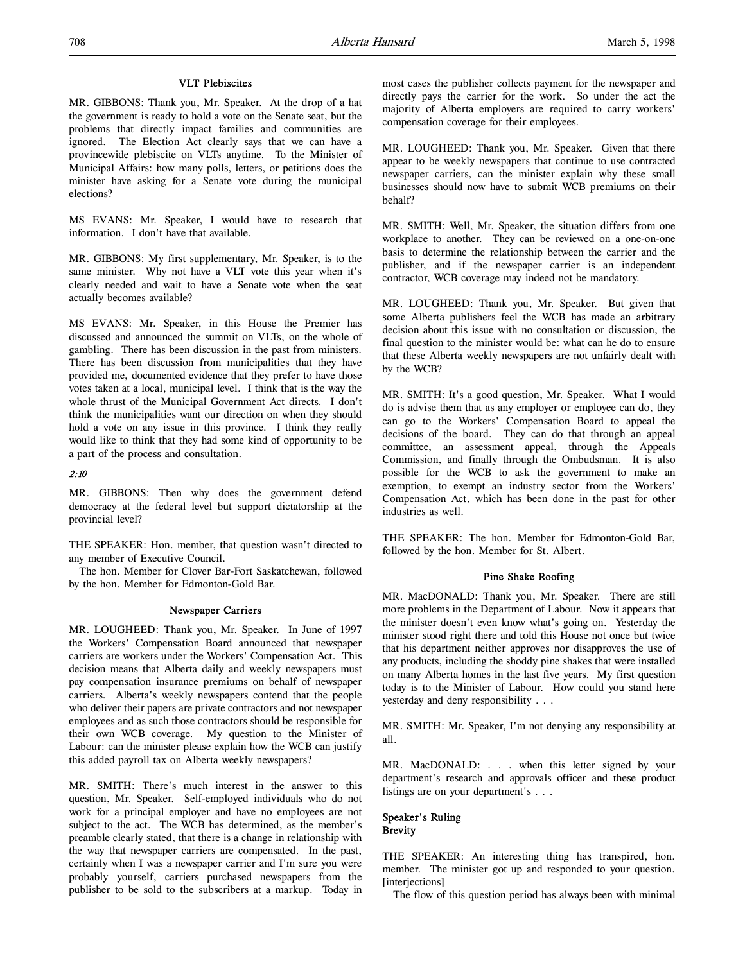## VLT Plebiscites

MR. GIBBONS: Thank you, Mr. Speaker. At the drop of a hat the government is ready to hold a vote on the Senate seat, but the problems that directly impact families and communities are ignored. The Election Act clearly says that we can have a provincewide plebiscite on VLTs anytime. To the Minister of Municipal Affairs: how many polls, letters, or petitions does the minister have asking for a Senate vote during the municipal elections?

MS EVANS: Mr. Speaker, I would have to research that information. I don't have that available.

MR. GIBBONS: My first supplementary, Mr. Speaker, is to the same minister. Why not have a VLT vote this year when it's clearly needed and wait to have a Senate vote when the seat actually becomes available?

MS EVANS: Mr. Speaker, in this House the Premier has discussed and announced the summit on VLTs, on the whole of gambling. There has been discussion in the past from ministers. There has been discussion from municipalities that they have provided me, documented evidence that they prefer to have those votes taken at a local, municipal level. I think that is the way the whole thrust of the Municipal Government Act directs. I don't think the municipalities want our direction on when they should hold a vote on any issue in this province. I think they really would like to think that they had some kind of opportunity to be a part of the process and consultation.

## 2:10

MR. GIBBONS: Then why does the government defend democracy at the federal level but support dictatorship at the provincial level?

THE SPEAKER: Hon. member, that question wasn't directed to any member of Executive Council.

The hon. Member for Clover Bar-Fort Saskatchewan, followed by the hon. Member for Edmonton-Gold Bar.

# Newspaper Carriers

MR. LOUGHEED: Thank you, Mr. Speaker. In June of 1997 the Workers' Compensation Board announced that newspaper carriers are workers under the Workers' Compensation Act. This decision means that Alberta daily and weekly newspapers must pay compensation insurance premiums on behalf of newspaper carriers. Alberta's weekly newspapers contend that the people who deliver their papers are private contractors and not newspaper employees and as such those contractors should be responsible for their own WCB coverage. My question to the Minister of Labour: can the minister please explain how the WCB can justify this added payroll tax on Alberta weekly newspapers?

MR. SMITH: There's much interest in the answer to this question, Mr. Speaker. Self-employed individuals who do not work for a principal employer and have no employees are not subject to the act. The WCB has determined, as the member's preamble clearly stated, that there is a change in relationship with the way that newspaper carriers are compensated. In the past, certainly when I was a newspaper carrier and I'm sure you were probably yourself, carriers purchased newspapers from the publisher to be sold to the subscribers at a markup. Today in most cases the publisher collects payment for the newspaper and directly pays the carrier for the work. So under the act the majority of Alberta employers are required to carry workers' compensation coverage for their employees.

MR. LOUGHEED: Thank you, Mr. Speaker. Given that there appear to be weekly newspapers that continue to use contracted newspaper carriers, can the minister explain why these small businesses should now have to submit WCB premiums on their behalf?

MR. SMITH: Well, Mr. Speaker, the situation differs from one workplace to another. They can be reviewed on a one-on-one basis to determine the relationship between the carrier and the publisher, and if the newspaper carrier is an independent contractor, WCB coverage may indeed not be mandatory.

MR. LOUGHEED: Thank you, Mr. Speaker. But given that some Alberta publishers feel the WCB has made an arbitrary decision about this issue with no consultation or discussion, the final question to the minister would be: what can he do to ensure that these Alberta weekly newspapers are not unfairly dealt with by the WCB?

MR. SMITH: It's a good question, Mr. Speaker. What I would do is advise them that as any employer or employee can do, they can go to the Workers' Compensation Board to appeal the decisions of the board. They can do that through an appeal committee, an assessment appeal, through the Appeals Commission, and finally through the Ombudsman. It is also possible for the WCB to ask the government to make an exemption, to exempt an industry sector from the Workers' Compensation Act, which has been done in the past for other industries as well.

THE SPEAKER: The hon. Member for Edmonton-Gold Bar, followed by the hon. Member for St. Albert.

#### Pine Shake Roofing

MR. MacDONALD: Thank you, Mr. Speaker. There are still more problems in the Department of Labour. Now it appears that the minister doesn't even know what's going on. Yesterday the minister stood right there and told this House not once but twice that his department neither approves nor disapproves the use of any products, including the shoddy pine shakes that were installed on many Alberta homes in the last five years. My first question today is to the Minister of Labour. How could you stand here yesterday and deny responsibility . . .

MR. SMITH: Mr. Speaker, I'm not denying any responsibility at all.

MR. MacDONALD: . . . when this letter signed by your department's research and approvals officer and these product listings are on your department's . . .

# Speaker's Ruling **Brevity**

THE SPEAKER: An interesting thing has transpired, hon. member. The minister got up and responded to your question. [interjections]

The flow of this question period has always been with minimal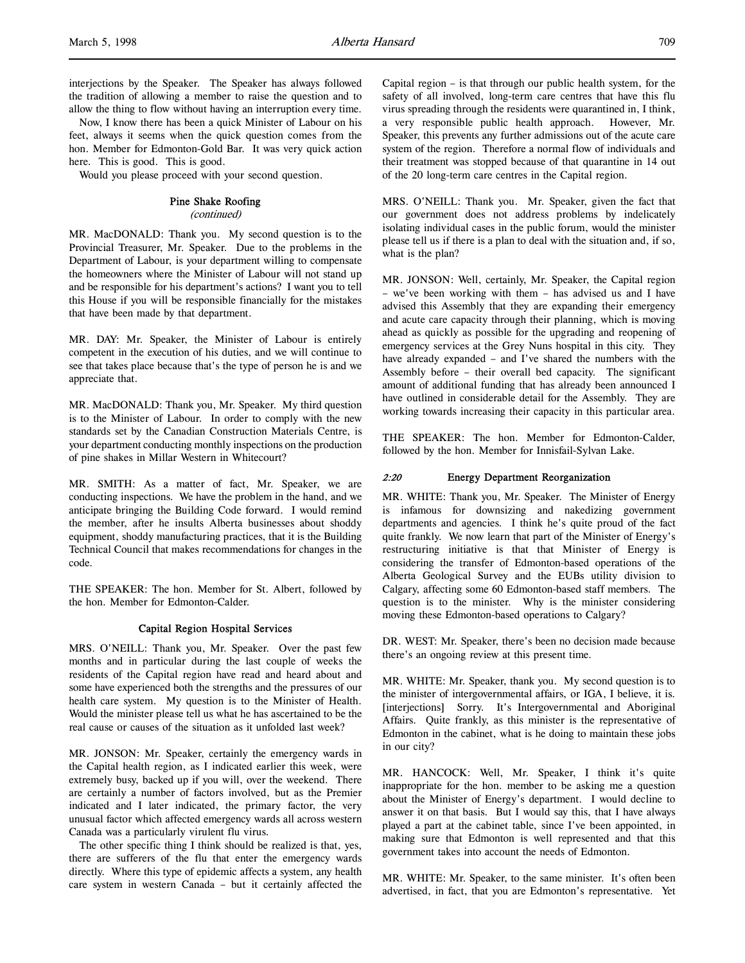interjections by the Speaker. The Speaker has always followed the tradition of allowing a member to raise the question and to allow the thing to flow without having an interruption every time.

Now, I know there has been a quick Minister of Labour on his feet, always it seems when the quick question comes from the hon. Member for Edmonton-Gold Bar. It was very quick action here. This is good. This is good.

Would you please proceed with your second question.

# Pine Shake Roofing

## (continued)

MR. MacDONALD: Thank you. My second question is to the Provincial Treasurer, Mr. Speaker. Due to the problems in the Department of Labour, is your department willing to compensate the homeowners where the Minister of Labour will not stand up and be responsible for his department's actions? I want you to tell this House if you will be responsible financially for the mistakes that have been made by that department.

MR. DAY: Mr. Speaker, the Minister of Labour is entirely competent in the execution of his duties, and we will continue to see that takes place because that's the type of person he is and we appreciate that.

MR. MacDONALD: Thank you, Mr. Speaker. My third question is to the Minister of Labour. In order to comply with the new standards set by the Canadian Construction Materials Centre, is your department conducting monthly inspections on the production of pine shakes in Millar Western in Whitecourt?

MR. SMITH: As a matter of fact, Mr. Speaker, we are conducting inspections. We have the problem in the hand, and we anticipate bringing the Building Code forward. I would remind the member, after he insults Alberta businesses about shoddy equipment, shoddy manufacturing practices, that it is the Building Technical Council that makes recommendations for changes in the code.

THE SPEAKER: The hon. Member for St. Albert, followed by the hon. Member for Edmonton-Calder.

# Capital Region Hospital Services

MRS. O'NEILL: Thank you, Mr. Speaker. Over the past few months and in particular during the last couple of weeks the residents of the Capital region have read and heard about and some have experienced both the strengths and the pressures of our health care system. My question is to the Minister of Health. Would the minister please tell us what he has ascertained to be the real cause or causes of the situation as it unfolded last week?

MR. JONSON: Mr. Speaker, certainly the emergency wards in the Capital health region, as I indicated earlier this week, were extremely busy, backed up if you will, over the weekend. There are certainly a number of factors involved, but as the Premier indicated and I later indicated, the primary factor, the very unusual factor which affected emergency wards all across western Canada was a particularly virulent flu virus.

The other specific thing I think should be realized is that, yes, there are sufferers of the flu that enter the emergency wards directly. Where this type of epidemic affects a system, any health care system in western Canada – but it certainly affected the Capital region – is that through our public health system, for the safety of all involved, long-term care centres that have this flu virus spreading through the residents were quarantined in, I think, a very responsible public health approach. However, Mr. Speaker, this prevents any further admissions out of the acute care system of the region. Therefore a normal flow of individuals and their treatment was stopped because of that quarantine in 14 out of the 20 long-term care centres in the Capital region.

MRS. O'NEILL: Thank you. Mr. Speaker, given the fact that our government does not address problems by indelicately isolating individual cases in the public forum, would the minister please tell us if there is a plan to deal with the situation and, if so, what is the plan?

MR. JONSON: Well, certainly, Mr. Speaker, the Capital region – we've been working with them – has advised us and I have advised this Assembly that they are expanding their emergency and acute care capacity through their planning, which is moving ahead as quickly as possible for the upgrading and reopening of emergency services at the Grey Nuns hospital in this city. They have already expanded – and I've shared the numbers with the Assembly before – their overall bed capacity. The significant amount of additional funding that has already been announced I have outlined in considerable detail for the Assembly. They are working towards increasing their capacity in this particular area.

THE SPEAKER: The hon. Member for Edmonton-Calder, followed by the hon. Member for Innisfail-Sylvan Lake.

# 2:20 Energy Department Reorganization

MR. WHITE: Thank you, Mr. Speaker. The Minister of Energy is infamous for downsizing and nakedizing government departments and agencies. I think he's quite proud of the fact quite frankly. We now learn that part of the Minister of Energy's restructuring initiative is that that Minister of Energy is considering the transfer of Edmonton-based operations of the Alberta Geological Survey and the EUBs utility division to Calgary, affecting some 60 Edmonton-based staff members. The question is to the minister. Why is the minister considering moving these Edmonton-based operations to Calgary?

DR. WEST: Mr. Speaker, there's been no decision made because there's an ongoing review at this present time.

MR. WHITE: Mr. Speaker, thank you. My second question is to the minister of intergovernmental affairs, or IGA, I believe, it is. [interjections] Sorry. It's Intergovernmental and Aboriginal Affairs. Quite frankly, as this minister is the representative of Edmonton in the cabinet, what is he doing to maintain these jobs in our city?

MR. HANCOCK: Well, Mr. Speaker, I think it's quite inappropriate for the hon. member to be asking me a question about the Minister of Energy's department. I would decline to answer it on that basis. But I would say this, that I have always played a part at the cabinet table, since I've been appointed, in making sure that Edmonton is well represented and that this government takes into account the needs of Edmonton.

MR. WHITE: Mr. Speaker, to the same minister. It's often been advertised, in fact, that you are Edmonton's representative. Yet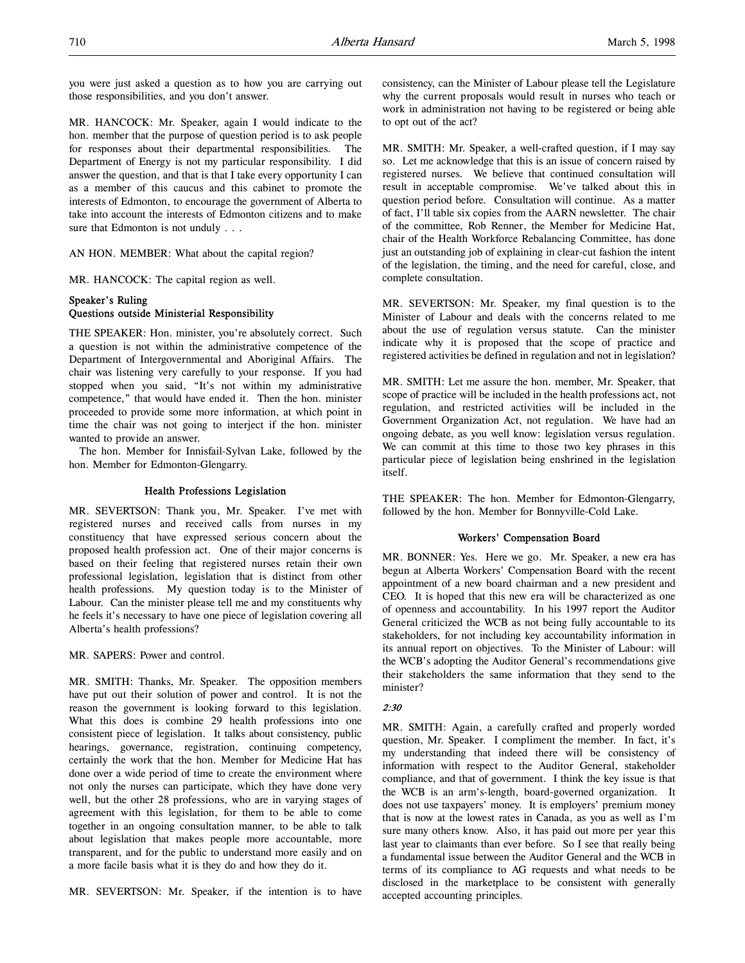you were just asked a question as to how you are carrying out those responsibilities, and you don't answer.

MR. HANCOCK: Mr. Speaker, again I would indicate to the hon. member that the purpose of question period is to ask people for responses about their departmental responsibilities. The Department of Energy is not my particular responsibility. I did answer the question, and that is that I take every opportunity I can as a member of this caucus and this cabinet to promote the interests of Edmonton, to encourage the government of Alberta to take into account the interests of Edmonton citizens and to make sure that Edmonton is not unduly . . .

AN HON. MEMBER: What about the capital region?

MR. HANCOCK: The capital region as well.

# Speaker's Ruling Questions outside Ministerial Responsibility

THE SPEAKER: Hon. minister, you're absolutely correct. Such a question is not within the administrative competence of the Department of Intergovernmental and Aboriginal Affairs. The chair was listening very carefully to your response. If you had stopped when you said, "It's not within my administrative competence," that would have ended it. Then the hon. minister proceeded to provide some more information, at which point in time the chair was not going to interject if the hon. minister wanted to provide an answer.

The hon. Member for Innisfail-Sylvan Lake, followed by the hon. Member for Edmonton-Glengarry.

#### Health Professions Legislation

MR. SEVERTSON: Thank you, Mr. Speaker. I've met with registered nurses and received calls from nurses in my constituency that have expressed serious concern about the proposed health profession act. One of their major concerns is based on their feeling that registered nurses retain their own professional legislation, legislation that is distinct from other health professions. My question today is to the Minister of Labour. Can the minister please tell me and my constituents why he feels it's necessary to have one piece of legislation covering all Alberta's health professions?

MR. SAPERS: Power and control.

MR. SMITH: Thanks, Mr. Speaker. The opposition members have put out their solution of power and control. It is not the reason the government is looking forward to this legislation. What this does is combine 29 health professions into one consistent piece of legislation. It talks about consistency, public hearings, governance, registration, continuing competency, certainly the work that the hon. Member for Medicine Hat has done over a wide period of time to create the environment where not only the nurses can participate, which they have done very well, but the other 28 professions, who are in varying stages of agreement with this legislation, for them to be able to come together in an ongoing consultation manner, to be able to talk about legislation that makes people more accountable, more transparent, and for the public to understand more easily and on a more facile basis what it is they do and how they do it.

MR. SEVERTSON: Mr. Speaker, if the intention is to have

consistency, can the Minister of Labour please tell the Legislature why the current proposals would result in nurses who teach or work in administration not having to be registered or being able to opt out of the act?

MR. SMITH: Mr. Speaker, a well-crafted question, if I may say so. Let me acknowledge that this is an issue of concern raised by registered nurses. We believe that continued consultation will result in acceptable compromise. We've talked about this in question period before. Consultation will continue. As a matter of fact, I'll table six copies from the AARN newsletter. The chair of the committee, Rob Renner, the Member for Medicine Hat, chair of the Health Workforce Rebalancing Committee, has done just an outstanding job of explaining in clear-cut fashion the intent of the legislation, the timing, and the need for careful, close, and complete consultation.

MR. SEVERTSON: Mr. Speaker, my final question is to the Minister of Labour and deals with the concerns related to me about the use of regulation versus statute. Can the minister indicate why it is proposed that the scope of practice and registered activities be defined in regulation and not in legislation?

MR. SMITH: Let me assure the hon. member, Mr. Speaker, that scope of practice will be included in the health professions act, not regulation, and restricted activities will be included in the Government Organization Act, not regulation. We have had an ongoing debate, as you well know: legislation versus regulation. We can commit at this time to those two key phrases in this particular piece of legislation being enshrined in the legislation itself.

THE SPEAKER: The hon. Member for Edmonton-Glengarry, followed by the hon. Member for Bonnyville-Cold Lake.

# Workers' Compensation Board

MR. BONNER: Yes. Here we go. Mr. Speaker, a new era has begun at Alberta Workers' Compensation Board with the recent appointment of a new board chairman and a new president and CEO. It is hoped that this new era will be characterized as one of openness and accountability. In his 1997 report the Auditor General criticized the WCB as not being fully accountable to its stakeholders, for not including key accountability information in its annual report on objectives. To the Minister of Labour: will the WCB's adopting the Auditor General's recommendations give their stakeholders the same information that they send to the minister?

# $2.30$

MR. SMITH: Again, a carefully crafted and properly worded question, Mr. Speaker. I compliment the member. In fact, it's my understanding that indeed there will be consistency of information with respect to the Auditor General, stakeholder compliance, and that of government. I think the key issue is that the WCB is an arm's-length, board-governed organization. It does not use taxpayers' money. It is employers' premium money that is now at the lowest rates in Canada, as you as well as I'm sure many others know. Also, it has paid out more per year this last year to claimants than ever before. So I see that really being a fundamental issue between the Auditor General and the WCB in terms of its compliance to AG requests and what needs to be disclosed in the marketplace to be consistent with generally accepted accounting principles.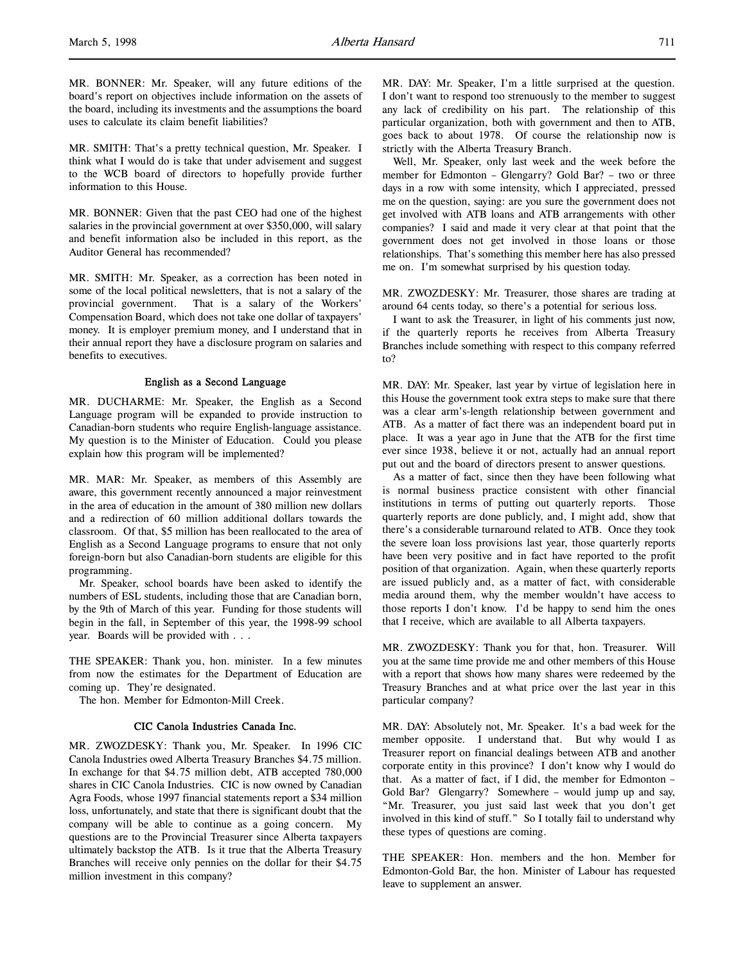MR. BONNER: Mr. Speaker, will any future editions of the board's report on objectives include information on the assets of the board, including its investments and the assumptions the board uses to calculate its claim benefit liabilities?

MR. SMITH: That's a pretty technical question, Mr. Speaker. I think what I would do is take that under advisement and suggest to the WCB board of directors to hopefully provide further information to this House.

MR. BONNER: Given that the past CEO had one of the highest salaries in the provincial government at over \$350,000, will salary and benefit information also be included in this report, as the Auditor General has recommended?

MR. SMITH: Mr. Speaker, as a correction has been noted in some of the local political newsletters, that is not a salary of the provincial government. That is a salary of the Workers' Compensation Board, which does not take one dollar of taxpayers' money. It is employer premium money, and I understand that in their annual report they have a disclosure program on salaries and benefits to executives.

# English as a Second Language

MR. DUCHARME: Mr. Speaker, the English as a Second Language program will be expanded to provide instruction to Canadian-born students who require English-language assistance. My question is to the Minister of Education. Could you please explain how this program will be implemented?

MR. MAR: Mr. Speaker, as members of this Assembly are aware, this government recently announced a major reinvestment in the area of education in the amount of 380 million new dollars and a redirection of 60 million additional dollars towards the classroom. Of that, \$5 million has been reallocated to the area of English as a Second Language programs to ensure that not only foreign-born but also Canadian-born students are eligible for this programming.

Mr. Speaker, school boards have been asked to identify the numbers of ESL students, including those that are Canadian born, by the 9th of March of this year. Funding for those students will begin in the fall, in September of this year, the 1998-99 school year. Boards will be provided with . . .

THE SPEAKER: Thank you, hon. minister. In a few minutes from now the estimates for the Department of Education are coming up. They're designated.

The hon. Member for Edmonton-Mill Creek.

# CIC Canola Industries Canada Inc.

MR. ZWOZDESKY: Thank you, Mr. Speaker. In 1996 CIC Canola Industries owed Alberta Treasury Branches \$4.75 million. In exchange for that \$4.75 million debt, ATB accepted 780,000 shares in CIC Canola Industries. CIC is now owned by Canadian Agra Foods, whose 1997 financial statements report a \$34 million loss, unfortunately, and state that there is significant doubt that the company will be able to continue as a going concern. My questions are to the Provincial Treasurer since Alberta taxpayers ultimately backstop the ATB. Is it true that the Alberta Treasury Branches will receive only pennies on the dollar for their \$4.75 million investment in this company?

MR. DAY: Mr. Speaker, I'm a little surprised at the question. I don't want to respond too strenuously to the member to suggest any lack of credibility on his part. The relationship of this particular organization, both with government and then to ATB, goes back to about 1978. Of course the relationship now is strictly with the Alberta Treasury Branch.

Well, Mr. Speaker, only last week and the week before the member for Edmonton – Glengarry? Gold Bar? – two or three days in a row with some intensity, which I appreciated, pressed me on the question, saying: are you sure the government does not get involved with ATB loans and ATB arrangements with other companies? I said and made it very clear at that point that the government does not get involved in those loans or those relationships. That's something this member here has also pressed me on. I'm somewhat surprised by his question today.

MR. ZWOZDESKY: Mr. Treasurer, those shares are trading at around 64 cents today, so there's a potential for serious loss.

I want to ask the Treasurer, in light of his comments just now, if the quarterly reports he receives from Alberta Treasury Branches include something with respect to this company referred to?

MR. DAY: Mr. Speaker, last year by virtue of legislation here in this House the government took extra steps to make sure that there was a clear arm's-length relationship between government and ATB. As a matter of fact there was an independent board put in place. It was a year ago in June that the ATB for the first time ever since 1938, believe it or not, actually had an annual report put out and the board of directors present to answer questions.

As a matter of fact, since then they have been following what is normal business practice consistent with other financial institutions in terms of putting out quarterly reports. Those quarterly reports are done publicly, and, I might add, show that there's a considerable turnaround related to ATB. Once they took the severe loan loss provisions last year, those quarterly reports have been very positive and in fact have reported to the profit position of that organization. Again, when these quarterly reports are issued publicly and, as a matter of fact, with considerable media around them, why the member wouldn't have access to those reports I don't know. I'd be happy to send him the ones that I receive, which are available to all Alberta taxpayers.

MR. ZWOZDESKY: Thank you for that, hon. Treasurer. Will you at the same time provide me and other members of this House with a report that shows how many shares were redeemed by the Treasury Branches and at what price over the last year in this particular company?

MR. DAY: Absolutely not, Mr. Speaker. It's a bad week for the member opposite. I understand that. But why would I as Treasurer report on financial dealings between ATB and another corporate entity in this province? I don't know why I would do that. As a matter of fact, if I did, the member for Edmonton – Gold Bar? Glengarry? Somewhere – would jump up and say, "Mr. Treasurer, you just said last week that you don't get involved in this kind of stuff." So I totally fail to understand why these types of questions are coming.

THE SPEAKER: Hon. members and the hon. Member for Edmonton-Gold Bar, the hon. Minister of Labour has requested leave to supplement an answer.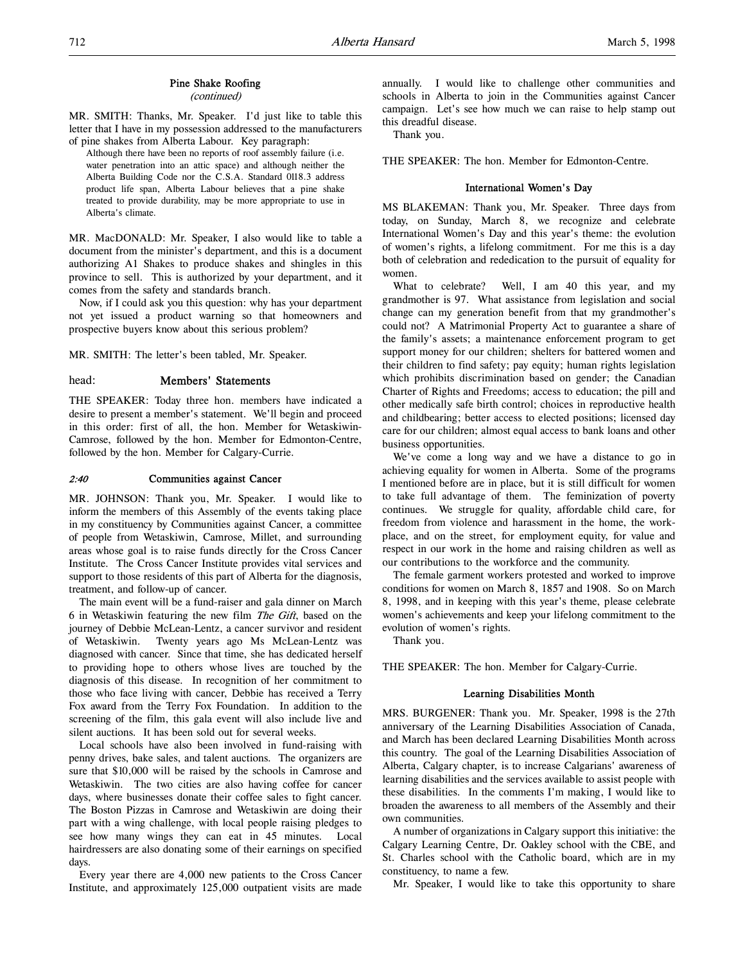# Pine Shake Roofing

(continued)

MR. SMITH: Thanks, Mr. Speaker. I'd just like to table this letter that I have in my possession addressed to the manufacturers of pine shakes from Alberta Labour. Key paragraph:

Although there have been no reports of roof assembly failure (i.e. water penetration into an attic space) and although neither the Alberta Building Code nor the C.S.A. Standard 0118.3 address product life span, Alberta Labour believes that a pine shake treated to provide durability, may be more appropriate to use in Alberta's climate.

MR. MacDONALD: Mr. Speaker, I also would like to table a document from the minister's department, and this is a document authorizing A1 Shakes to produce shakes and shingles in this province to sell. This is authorized by your department, and it comes from the safety and standards branch.

Now, if I could ask you this question: why has your department not yet issued a product warning so that homeowners and prospective buyers know about this serious problem?

MR. SMITH: The letter's been tabled, Mr. Speaker.

# head: Members' Statements

THE SPEAKER: Today three hon. members have indicated a desire to present a member's statement. We'll begin and proceed in this order: first of all, the hon. Member for Wetaskiwin-Camrose, followed by the hon. Member for Edmonton-Centre, followed by the hon. Member for Calgary-Currie.

#### 2:40 Communities against Cancer

MR. JOHNSON: Thank you, Mr. Speaker. I would like to inform the members of this Assembly of the events taking place in my constituency by Communities against Cancer, a committee of people from Wetaskiwin, Camrose, Millet, and surrounding areas whose goal is to raise funds directly for the Cross Cancer Institute. The Cross Cancer Institute provides vital services and support to those residents of this part of Alberta for the diagnosis, treatment, and follow-up of cancer.

The main event will be a fund-raiser and gala dinner on March 6 in Wetaskiwin featuring the new film The Gift, based on the journey of Debbie McLean-Lentz, a cancer survivor and resident of Wetaskiwin. Twenty years ago Ms McLean-Lentz was diagnosed with cancer. Since that time, she has dedicated herself to providing hope to others whose lives are touched by the diagnosis of this disease. In recognition of her commitment to those who face living with cancer, Debbie has received a Terry Fox award from the Terry Fox Foundation. In addition to the screening of the film, this gala event will also include live and silent auctions. It has been sold out for several weeks.

Local schools have also been involved in fund-raising with penny drives, bake sales, and talent auctions. The organizers are sure that \$10,000 will be raised by the schools in Camrose and Wetaskiwin. The two cities are also having coffee for cancer days, where businesses donate their coffee sales to fight cancer. The Boston Pizzas in Camrose and Wetaskiwin are doing their part with a wing challenge, with local people raising pledges to see how many wings they can eat in 45 minutes. Local hairdressers are also donating some of their earnings on specified days.

Every year there are 4,000 new patients to the Cross Cancer Institute, and approximately 125,000 outpatient visits are made

annually. I would like to challenge other communities and schools in Alberta to join in the Communities against Cancer campaign. Let's see how much we can raise to help stamp out this dreadful disease.

Thank you.

THE SPEAKER: The hon. Member for Edmonton-Centre.

# International Women's Day

MS BLAKEMAN: Thank you, Mr. Speaker. Three days from today, on Sunday, March 8, we recognize and celebrate International Women's Day and this year's theme: the evolution of women's rights, a lifelong commitment. For me this is a day both of celebration and rededication to the pursuit of equality for women.

What to celebrate? Well, I am 40 this year, and my grandmother is 97. What assistance from legislation and social change can my generation benefit from that my grandmother's could not? A Matrimonial Property Act to guarantee a share of the family's assets; a maintenance enforcement program to get support money for our children; shelters for battered women and their children to find safety; pay equity; human rights legislation which prohibits discrimination based on gender; the Canadian Charter of Rights and Freedoms; access to education; the pill and other medically safe birth control; choices in reproductive health and childbearing; better access to elected positions; licensed day care for our children; almost equal access to bank loans and other business opportunities.

We've come a long way and we have a distance to go in achieving equality for women in Alberta. Some of the programs I mentioned before are in place, but it is still difficult for women to take full advantage of them. The feminization of poverty continues. We struggle for quality, affordable child care, for freedom from violence and harassment in the home, the workplace, and on the street, for employment equity, for value and respect in our work in the home and raising children as well as our contributions to the workforce and the community.

The female garment workers protested and worked to improve conditions for women on March 8, 1857 and 1908. So on March 8, 1998, and in keeping with this year's theme, please celebrate women's achievements and keep your lifelong commitment to the evolution of women's rights.

Thank you.

THE SPEAKER: The hon. Member for Calgary-Currie.

#### Learning Disabilities Month

MRS. BURGENER: Thank you. Mr. Speaker, 1998 is the 27th anniversary of the Learning Disabilities Association of Canada, and March has been declared Learning Disabilities Month across this country. The goal of the Learning Disabilities Association of Alberta, Calgary chapter, is to increase Calgarians' awareness of learning disabilities and the services available to assist people with these disabilities. In the comments I'm making, I would like to broaden the awareness to all members of the Assembly and their own communities.

A number of organizations in Calgary support this initiative: the Calgary Learning Centre, Dr. Oakley school with the CBE, and St. Charles school with the Catholic board, which are in my constituency, to name a few.

Mr. Speaker, I would like to take this opportunity to share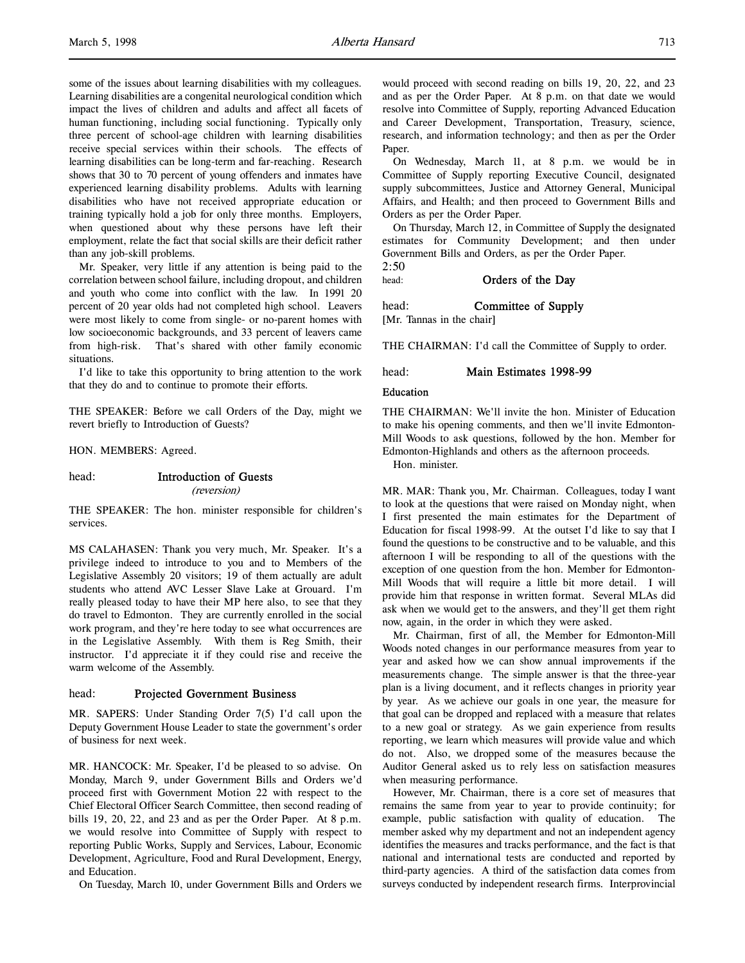some of the issues about learning disabilities with my colleagues. Learning disabilities are a congenital neurological condition which impact the lives of children and adults and affect all facets of human functioning, including social functioning. Typically only three percent of school-age children with learning disabilities receive special services within their schools. The effects of learning disabilities can be long-term and far-reaching. Research shows that 30 to 70 percent of young offenders and inmates have experienced learning disability problems. Adults with learning disabilities who have not received appropriate education or training typically hold a job for only three months. Employers, when questioned about why these persons have left their employment, relate the fact that social skills are their deficit rather than any job-skill problems.

Mr. Speaker, very little if any attention is being paid to the correlation between school failure, including dropout, and children and youth who come into conflict with the law. In 1991 20 percent of 20 year olds had not completed high school. Leavers were most likely to come from single- or no-parent homes with low socioeconomic backgrounds, and 33 percent of leavers came from high-risk. That's shared with other family economic situations.

I'd like to take this opportunity to bring attention to the work that they do and to continue to promote their efforts.

THE SPEAKER: Before we call Orders of the Day, might we revert briefly to Introduction of Guests?

HON. MEMBERS: Agreed.

#### head: Introduction of Guests (reversion)

THE SPEAKER: The hon. minister responsible for children's services.

MS CALAHASEN: Thank you very much, Mr. Speaker. It's a privilege indeed to introduce to you and to Members of the Legislative Assembly 20 visitors; 19 of them actually are adult students who attend AVC Lesser Slave Lake at Grouard. I'm really pleased today to have their MP here also, to see that they do travel to Edmonton. They are currently enrolled in the social work program, and they're here today to see what occurrences are in the Legislative Assembly. With them is Reg Smith, their instructor. I'd appreciate it if they could rise and receive the warm welcome of the Assembly.

# head: Projected Government Business

MR. SAPERS: Under Standing Order 7(5) I'd call upon the Deputy Government House Leader to state the government's order of business for next week.

MR. HANCOCK: Mr. Speaker, I'd be pleased to so advise. On Monday, March 9, under Government Bills and Orders we'd proceed first with Government Motion 22 with respect to the Chief Electoral Officer Search Committee, then second reading of bills 19, 20, 22, and 23 and as per the Order Paper. At 8 p.m. we would resolve into Committee of Supply with respect to reporting Public Works, Supply and Services, Labour, Economic Development, Agriculture, Food and Rural Development, Energy, and Education.

On Tuesday, March 10, under Government Bills and Orders we

would proceed with second reading on bills 19, 20, 22, and 23 and as per the Order Paper. At 8 p.m. on that date we would resolve into Committee of Supply, reporting Advanced Education and Career Development, Transportation, Treasury, science, research, and information technology; and then as per the Order Paper.

On Wednesday, March 11, at 8 p.m. we would be in Committee of Supply reporting Executive Council, designated supply subcommittees, Justice and Attorney General, Municipal Affairs, and Health; and then proceed to Government Bills and Orders as per the Order Paper.

On Thursday, March 12, in Committee of Supply the designated estimates for Community Development; and then under Government Bills and Orders, as per the Order Paper. 2:50

head: **Orders of the Day** 

head: **Committee of Supply** [Mr. Tannas in the chair]

THE CHAIRMAN: I'd call the Committee of Supply to order.

head: Main Estimates 1998-99

#### Education

THE CHAIRMAN: We'll invite the hon. Minister of Education to make his opening comments, and then we'll invite Edmonton-Mill Woods to ask questions, followed by the hon. Member for Edmonton-Highlands and others as the afternoon proceeds. Hon. minister.

MR. MAR: Thank you, Mr. Chairman. Colleagues, today I want to look at the questions that were raised on Monday night, when I first presented the main estimates for the Department of Education for fiscal 1998-99. At the outset I'd like to say that I found the questions to be constructive and to be valuable, and this afternoon I will be responding to all of the questions with the exception of one question from the hon. Member for Edmonton-Mill Woods that will require a little bit more detail. I will provide him that response in written format. Several MLAs did ask when we would get to the answers, and they'll get them right now, again, in the order in which they were asked.

Mr. Chairman, first of all, the Member for Edmonton-Mill Woods noted changes in our performance measures from year to year and asked how we can show annual improvements if the measurements change. The simple answer is that the three-year plan is a living document, and it reflects changes in priority year by year. As we achieve our goals in one year, the measure for that goal can be dropped and replaced with a measure that relates to a new goal or strategy. As we gain experience from results reporting, we learn which measures will provide value and which do not. Also, we dropped some of the measures because the Auditor General asked us to rely less on satisfaction measures when measuring performance.

However, Mr. Chairman, there is a core set of measures that remains the same from year to year to provide continuity; for example, public satisfaction with quality of education. The member asked why my department and not an independent agency identifies the measures and tracks performance, and the fact is that national and international tests are conducted and reported by third-party agencies. A third of the satisfaction data comes from surveys conducted by independent research firms. Interprovincial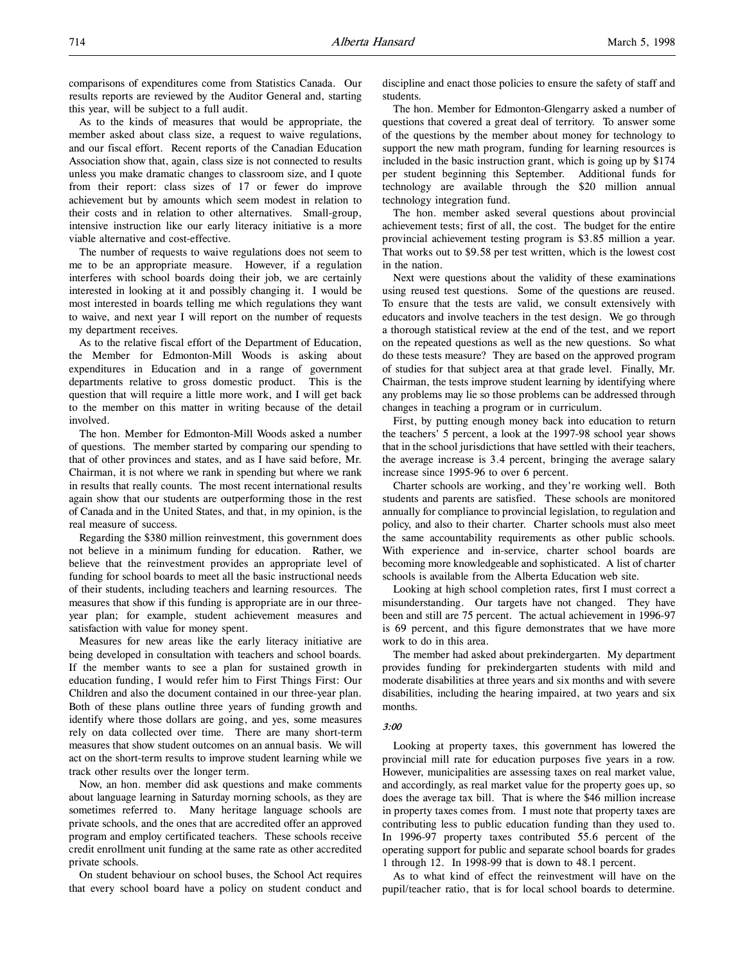As to the kinds of measures that would be appropriate, the member asked about class size, a request to waive regulations, and our fiscal effort. Recent reports of the Canadian Education Association show that, again, class size is not connected to results unless you make dramatic changes to classroom size, and I quote from their report: class sizes of 17 or fewer do improve achievement but by amounts which seem modest in relation to their costs and in relation to other alternatives. Small-group, intensive instruction like our early literacy initiative is a more viable alternative and cost-effective.

The number of requests to waive regulations does not seem to me to be an appropriate measure. However, if a regulation interferes with school boards doing their job, we are certainly interested in looking at it and possibly changing it. I would be most interested in boards telling me which regulations they want to waive, and next year I will report on the number of requests my department receives.

As to the relative fiscal effort of the Department of Education, the Member for Edmonton-Mill Woods is asking about expenditures in Education and in a range of government departments relative to gross domestic product. This is the question that will require a little more work, and I will get back to the member on this matter in writing because of the detail involved.

The hon. Member for Edmonton-Mill Woods asked a number of questions. The member started by comparing our spending to that of other provinces and states, and as I have said before, Mr. Chairman, it is not where we rank in spending but where we rank in results that really counts. The most recent international results again show that our students are outperforming those in the rest of Canada and in the United States, and that, in my opinion, is the real measure of success.

Regarding the \$380 million reinvestment, this government does not believe in a minimum funding for education. Rather, we believe that the reinvestment provides an appropriate level of funding for school boards to meet all the basic instructional needs of their students, including teachers and learning resources. The measures that show if this funding is appropriate are in our threeyear plan; for example, student achievement measures and satisfaction with value for money spent.

Measures for new areas like the early literacy initiative are being developed in consultation with teachers and school boards. If the member wants to see a plan for sustained growth in education funding, I would refer him to First Things First: Our Children and also the document contained in our three-year plan. Both of these plans outline three years of funding growth and identify where those dollars are going, and yes, some measures rely on data collected over time. There are many short-term measures that show student outcomes on an annual basis. We will act on the short-term results to improve student learning while we track other results over the longer term.

Now, an hon. member did ask questions and make comments about language learning in Saturday morning schools, as they are sometimes referred to. Many heritage language schools are private schools, and the ones that are accredited offer an approved program and employ certificated teachers. These schools receive credit enrollment unit funding at the same rate as other accredited private schools.

On student behaviour on school buses, the School Act requires that every school board have a policy on student conduct and

discipline and enact those policies to ensure the safety of staff and students.

The hon. Member for Edmonton-Glengarry asked a number of questions that covered a great deal of territory. To answer some of the questions by the member about money for technology to support the new math program, funding for learning resources is included in the basic instruction grant, which is going up by \$174 per student beginning this September. Additional funds for technology are available through the \$20 million annual technology integration fund.

The hon. member asked several questions about provincial achievement tests; first of all, the cost. The budget for the entire provincial achievement testing program is \$3.85 million a year. That works out to \$9.58 per test written, which is the lowest cost in the nation.

Next were questions about the validity of these examinations using reused test questions. Some of the questions are reused. To ensure that the tests are valid, we consult extensively with educators and involve teachers in the test design. We go through a thorough statistical review at the end of the test, and we report on the repeated questions as well as the new questions. So what do these tests measure? They are based on the approved program of studies for that subject area at that grade level. Finally, Mr. Chairman, the tests improve student learning by identifying where any problems may lie so those problems can be addressed through changes in teaching a program or in curriculum.

First, by putting enough money back into education to return the teachers' 5 percent, a look at the 1997-98 school year shows that in the school jurisdictions that have settled with their teachers, the average increase is 3.4 percent, bringing the average salary increase since 1995-96 to over 6 percent.

Charter schools are working, and they're working well. Both students and parents are satisfied. These schools are monitored annually for compliance to provincial legislation, to regulation and policy, and also to their charter. Charter schools must also meet the same accountability requirements as other public schools. With experience and in-service, charter school boards are becoming more knowledgeable and sophisticated. A list of charter schools is available from the Alberta Education web site.

Looking at high school completion rates, first I must correct a misunderstanding. Our targets have not changed. They have been and still are 75 percent. The actual achievement in 1996-97 is 69 percent, and this figure demonstrates that we have more work to do in this area.

The member had asked about prekindergarten. My department provides funding for prekindergarten students with mild and moderate disabilities at three years and six months and with severe disabilities, including the hearing impaired, at two years and six months.

# 3:00

Looking at property taxes, this government has lowered the provincial mill rate for education purposes five years in a row. However, municipalities are assessing taxes on real market value, and accordingly, as real market value for the property goes up, so does the average tax bill. That is where the \$46 million increase in property taxes comes from. I must note that property taxes are contributing less to public education funding than they used to. In 1996-97 property taxes contributed 55.6 percent of the operating support for public and separate school boards for grades 1 through 12. In 1998-99 that is down to 48.1 percent.

As to what kind of effect the reinvestment will have on the pupil/teacher ratio, that is for local school boards to determine.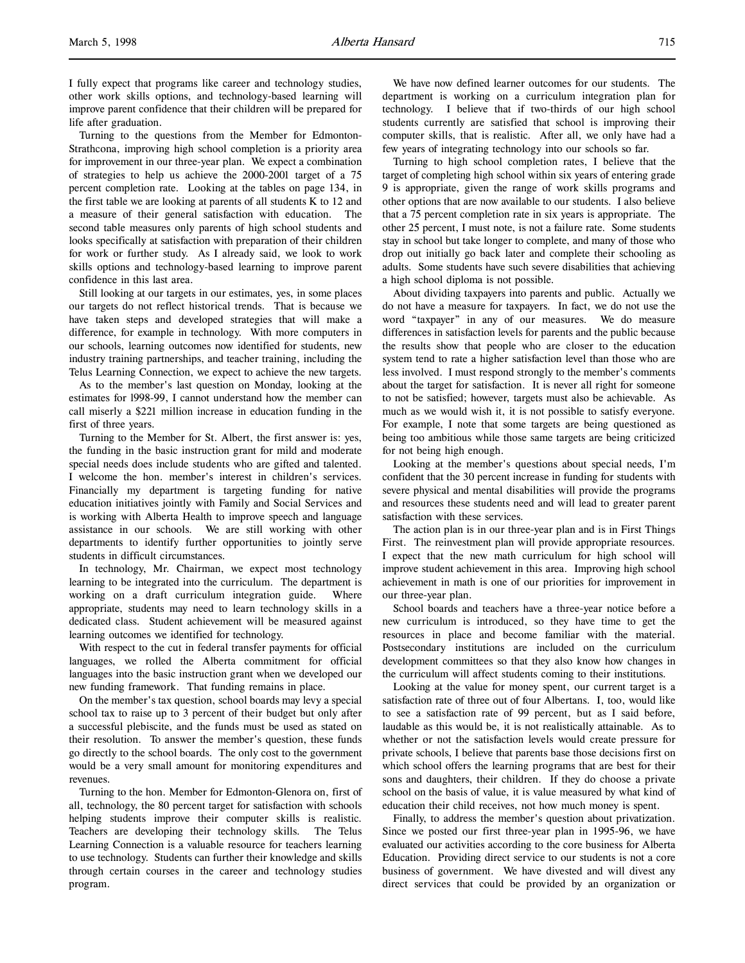I fully expect that programs like career and technology studies, other work skills options, and technology-based learning will improve parent confidence that their children will be prepared for life after graduation.

Turning to the questions from the Member for Edmonton-Strathcona, improving high school completion is a priority area for improvement in our three-year plan. We expect a combination of strategies to help us achieve the 2000-2001 target of a 75 percent completion rate. Looking at the tables on page 134, in the first table we are looking at parents of all students K to 12 and a measure of their general satisfaction with education. The second table measures only parents of high school students and looks specifically at satisfaction with preparation of their children for work or further study. As I already said, we look to work skills options and technology-based learning to improve parent confidence in this last area.

Still looking at our targets in our estimates, yes, in some places our targets do not reflect historical trends. That is because we have taken steps and developed strategies that will make a difference, for example in technology. With more computers in our schools, learning outcomes now identified for students, new industry training partnerships, and teacher training, including the Telus Learning Connection, we expect to achieve the new targets.

As to the member's last question on Monday, looking at the estimates for l998-99, I cannot understand how the member can call miserly a \$221 million increase in education funding in the first of three years.

Turning to the Member for St. Albert, the first answer is: yes, the funding in the basic instruction grant for mild and moderate special needs does include students who are gifted and talented. I welcome the hon. member's interest in children's services. Financially my department is targeting funding for native education initiatives jointly with Family and Social Services and is working with Alberta Health to improve speech and language assistance in our schools. We are still working with other departments to identify further opportunities to jointly serve students in difficult circumstances.

In technology, Mr. Chairman, we expect most technology learning to be integrated into the curriculum. The department is working on a draft curriculum integration guide. Where appropriate, students may need to learn technology skills in a dedicated class. Student achievement will be measured against learning outcomes we identified for technology.

With respect to the cut in federal transfer payments for official languages, we rolled the Alberta commitment for official languages into the basic instruction grant when we developed our new funding framework. That funding remains in place.

On the member's tax question, school boards may levy a special school tax to raise up to 3 percent of their budget but only after a successful plebiscite, and the funds must be used as stated on their resolution. To answer the member's question, these funds go directly to the school boards. The only cost to the government would be a very small amount for monitoring expenditures and revenues.

Turning to the hon. Member for Edmonton-Glenora on, first of all, technology, the 80 percent target for satisfaction with schools helping students improve their computer skills is realistic. Teachers are developing their technology skills. The Telus Learning Connection is a valuable resource for teachers learning to use technology. Students can further their knowledge and skills through certain courses in the career and technology studies program.

We have now defined learner outcomes for our students. The department is working on a curriculum integration plan for technology. I believe that if two-thirds of our high school students currently are satisfied that school is improving their computer skills, that is realistic. After all, we only have had a few years of integrating technology into our schools so far.

Turning to high school completion rates, I believe that the target of completing high school within six years of entering grade 9 is appropriate, given the range of work skills programs and other options that are now available to our students. I also believe that a 75 percent completion rate in six years is appropriate. The other 25 percent, I must note, is not a failure rate. Some students stay in school but take longer to complete, and many of those who drop out initially go back later and complete their schooling as adults. Some students have such severe disabilities that achieving a high school diploma is not possible.

About dividing taxpayers into parents and public. Actually we do not have a measure for taxpayers. In fact, we do not use the word "taxpayer" in any of our measures. We do measure differences in satisfaction levels for parents and the public because the results show that people who are closer to the education system tend to rate a higher satisfaction level than those who are less involved. I must respond strongly to the member's comments about the target for satisfaction. It is never all right for someone to not be satisfied; however, targets must also be achievable. As much as we would wish it, it is not possible to satisfy everyone. For example, I note that some targets are being questioned as being too ambitious while those same targets are being criticized for not being high enough.

Looking at the member's questions about special needs, I'm confident that the 30 percent increase in funding for students with severe physical and mental disabilities will provide the programs and resources these students need and will lead to greater parent satisfaction with these services.

The action plan is in our three-year plan and is in First Things First. The reinvestment plan will provide appropriate resources. I expect that the new math curriculum for high school will improve student achievement in this area. Improving high school achievement in math is one of our priorities for improvement in our three-year plan.

School boards and teachers have a three-year notice before a new curriculum is introduced, so they have time to get the resources in place and become familiar with the material. Postsecondary institutions are included on the curriculum development committees so that they also know how changes in the curriculum will affect students coming to their institutions.

Looking at the value for money spent, our current target is a satisfaction rate of three out of four Albertans. I, too, would like to see a satisfaction rate of 99 percent, but as I said before, laudable as this would be, it is not realistically attainable. As to whether or not the satisfaction levels would create pressure for private schools, I believe that parents base those decisions first on which school offers the learning programs that are best for their sons and daughters, their children. If they do choose a private school on the basis of value, it is value measured by what kind of education their child receives, not how much money is spent.

Finally, to address the member's question about privatization. Since we posted our first three-year plan in 1995-96, we have evaluated our activities according to the core business for Alberta Education. Providing direct service to our students is not a core business of government. We have divested and will divest any direct services that could be provided by an organization or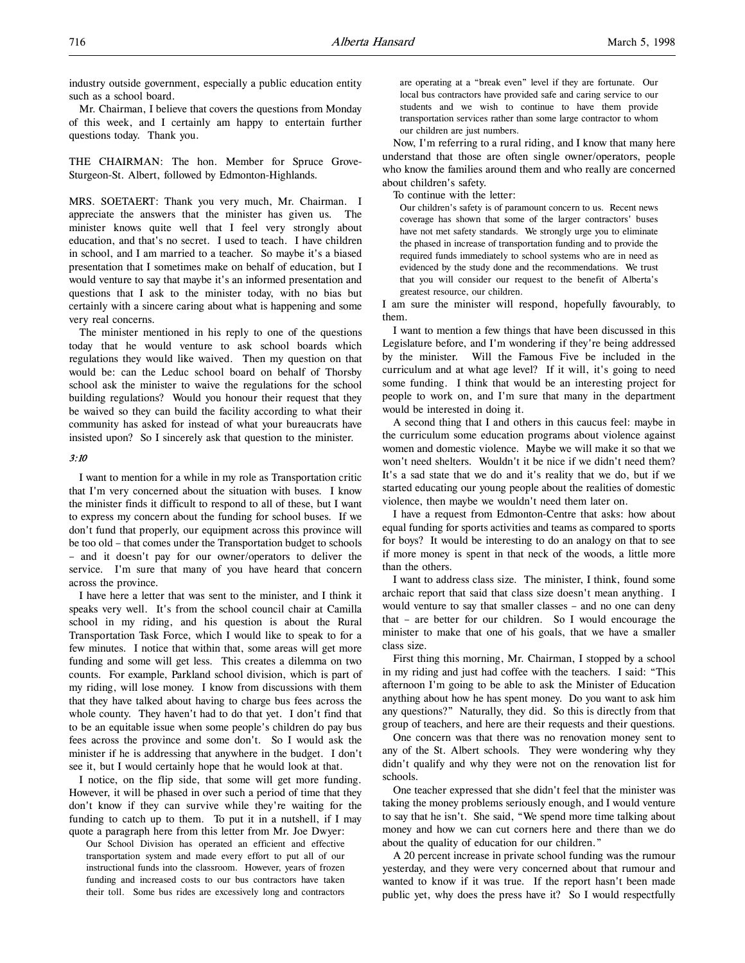industry outside government, especially a public education entity such as a school board.

Mr. Chairman, I believe that covers the questions from Monday of this week, and I certainly am happy to entertain further questions today. Thank you.

THE CHAIRMAN: The hon. Member for Spruce Grove-Sturgeon-St. Albert, followed by Edmonton-Highlands.

MRS. SOETAERT: Thank you very much, Mr. Chairman. I appreciate the answers that the minister has given us. The minister knows quite well that I feel very strongly about education, and that's no secret. I used to teach. I have children in school, and I am married to a teacher. So maybe it's a biased presentation that I sometimes make on behalf of education, but I would venture to say that maybe it's an informed presentation and questions that I ask to the minister today, with no bias but certainly with a sincere caring about what is happening and some very real concerns.

The minister mentioned in his reply to one of the questions today that he would venture to ask school boards which regulations they would like waived. Then my question on that would be: can the Leduc school board on behalf of Thorsby school ask the minister to waive the regulations for the school building regulations? Would you honour their request that they be waived so they can build the facility according to what their community has asked for instead of what your bureaucrats have insisted upon? So I sincerely ask that question to the minister.

#### 3:10

I want to mention for a while in my role as Transportation critic that I'm very concerned about the situation with buses. I know the minister finds it difficult to respond to all of these, but I want to express my concern about the funding for school buses. If we don't fund that properly, our equipment across this province will be too old – that comes under the Transportation budget to schools – and it doesn't pay for our owner/operators to deliver the service. I'm sure that many of you have heard that concern across the province.

I have here a letter that was sent to the minister, and I think it speaks very well. It's from the school council chair at Camilla school in my riding, and his question is about the Rural Transportation Task Force, which I would like to speak to for a few minutes. I notice that within that, some areas will get more funding and some will get less. This creates a dilemma on two counts. For example, Parkland school division, which is part of my riding, will lose money. I know from discussions with them that they have talked about having to charge bus fees across the whole county. They haven't had to do that yet. I don't find that to be an equitable issue when some people's children do pay bus fees across the province and some don't. So I would ask the minister if he is addressing that anywhere in the budget. I don't see it, but I would certainly hope that he would look at that.

I notice, on the flip side, that some will get more funding. However, it will be phased in over such a period of time that they don't know if they can survive while they're waiting for the funding to catch up to them. To put it in a nutshell, if I may quote a paragraph here from this letter from Mr. Joe Dwyer:

Our School Division has operated an efficient and effective transportation system and made every effort to put all of our instructional funds into the classroom. However, years of frozen funding and increased costs to our bus contractors have taken their toll. Some bus rides are excessively long and contractors

are operating at a "break even" level if they are fortunate. Our local bus contractors have provided safe and caring service to our students and we wish to continue to have them provide transportation services rather than some large contractor to whom our children are just numbers.

Now, I'm referring to a rural riding, and I know that many here understand that those are often single owner/operators, people who know the families around them and who really are concerned about children's safety.

To continue with the letter:

Our children's safety is of paramount concern to us. Recent news coverage has shown that some of the larger contractors' buses have not met safety standards. We strongly urge you to eliminate the phased in increase of transportation funding and to provide the required funds immediately to school systems who are in need as evidenced by the study done and the recommendations. We trust that you will consider our request to the benefit of Alberta's greatest resource, our children.

I am sure the minister will respond, hopefully favourably, to them.

I want to mention a few things that have been discussed in this Legislature before, and I'm wondering if they're being addressed by the minister. Will the Famous Five be included in the curriculum and at what age level? If it will, it's going to need some funding. I think that would be an interesting project for people to work on, and I'm sure that many in the department would be interested in doing it.

A second thing that I and others in this caucus feel: maybe in the curriculum some education programs about violence against women and domestic violence. Maybe we will make it so that we won't need shelters. Wouldn't it be nice if we didn't need them? It's a sad state that we do and it's reality that we do, but if we started educating our young people about the realities of domestic violence, then maybe we wouldn't need them later on.

I have a request from Edmonton-Centre that asks: how about equal funding for sports activities and teams as compared to sports for boys? It would be interesting to do an analogy on that to see if more money is spent in that neck of the woods, a little more than the others.

I want to address class size. The minister, I think, found some archaic report that said that class size doesn't mean anything. I would venture to say that smaller classes – and no one can deny that – are better for our children. So I would encourage the minister to make that one of his goals, that we have a smaller class size.

First thing this morning, Mr. Chairman, I stopped by a school in my riding and just had coffee with the teachers. I said: "This afternoon I'm going to be able to ask the Minister of Education anything about how he has spent money. Do you want to ask him any questions?" Naturally, they did. So this is directly from that group of teachers, and here are their requests and their questions.

One concern was that there was no renovation money sent to any of the St. Albert schools. They were wondering why they didn't qualify and why they were not on the renovation list for schools.

One teacher expressed that she didn't feel that the minister was taking the money problems seriously enough, and I would venture to say that he isn't. She said, "We spend more time talking about money and how we can cut corners here and there than we do about the quality of education for our children."

A 20 percent increase in private school funding was the rumour yesterday, and they were very concerned about that rumour and wanted to know if it was true. If the report hasn't been made public yet, why does the press have it? So I would respectfully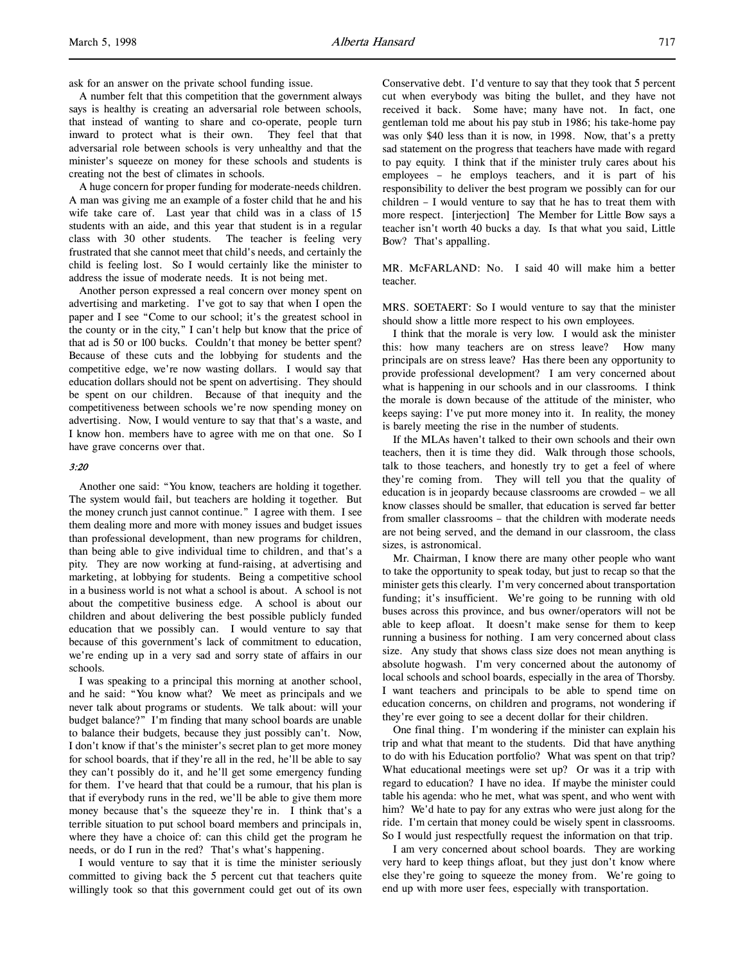ask for an answer on the private school funding issue.

A number felt that this competition that the government always says is healthy is creating an adversarial role between schools, that instead of wanting to share and co-operate, people turn inward to protect what is their own. They feel that that adversarial role between schools is very unhealthy and that the minister's squeeze on money for these schools and students is creating not the best of climates in schools.

A huge concern for proper funding for moderate-needs children. A man was giving me an example of a foster child that he and his wife take care of. Last year that child was in a class of 15 students with an aide, and this year that student is in a regular class with 30 other students. The teacher is feeling very frustrated that she cannot meet that child's needs, and certainly the child is feeling lost. So I would certainly like the minister to address the issue of moderate needs. It is not being met.

Another person expressed a real concern over money spent on advertising and marketing. I've got to say that when I open the paper and I see "Come to our school; it's the greatest school in the county or in the city," I can't help but know that the price of that ad is 50 or 100 bucks. Couldn't that money be better spent? Because of these cuts and the lobbying for students and the competitive edge, we're now wasting dollars. I would say that education dollars should not be spent on advertising. They should be spent on our children. Because of that inequity and the competitiveness between schools we're now spending money on advertising. Now, I would venture to say that that's a waste, and I know hon. members have to agree with me on that one. So I have grave concerns over that.

#### 3:20

Another one said: "You know, teachers are holding it together. The system would fail, but teachers are holding it together. But the money crunch just cannot continue." I agree with them. I see them dealing more and more with money issues and budget issues than professional development, than new programs for children, than being able to give individual time to children, and that's a pity. They are now working at fund-raising, at advertising and marketing, at lobbying for students. Being a competitive school in a business world is not what a school is about. A school is not about the competitive business edge. A school is about our children and about delivering the best possible publicly funded education that we possibly can. I would venture to say that because of this government's lack of commitment to education, we're ending up in a very sad and sorry state of affairs in our schools.

I was speaking to a principal this morning at another school, and he said: "You know what? We meet as principals and we never talk about programs or students. We talk about: will your budget balance?" I'm finding that many school boards are unable to balance their budgets, because they just possibly can't. Now, I don't know if that's the minister's secret plan to get more money for school boards, that if they're all in the red, he'll be able to say they can't possibly do it, and he'll get some emergency funding for them. I've heard that that could be a rumour, that his plan is that if everybody runs in the red, we'll be able to give them more money because that's the squeeze they're in. I think that's a terrible situation to put school board members and principals in, where they have a choice of: can this child get the program he needs, or do I run in the red? That's what's happening.

I would venture to say that it is time the minister seriously committed to giving back the 5 percent cut that teachers quite willingly took so that this government could get out of its own

Conservative debt. I'd venture to say that they took that 5 percent cut when everybody was biting the bullet, and they have not received it back. Some have; many have not. In fact, one gentleman told me about his pay stub in 1986; his take-home pay was only \$40 less than it is now, in 1998. Now, that's a pretty sad statement on the progress that teachers have made with regard to pay equity. I think that if the minister truly cares about his employees – he employs teachers, and it is part of his responsibility to deliver the best program we possibly can for our children – I would venture to say that he has to treat them with more respect. [interjection] The Member for Little Bow says a teacher isn't worth 40 bucks a day. Is that what you said, Little Bow? That's appalling.

MR. McFARLAND: No. I said 40 will make him a better teacher.

MRS. SOETAERT: So I would venture to say that the minister should show a little more respect to his own employees.

I think that the morale is very low. I would ask the minister this: how many teachers are on stress leave? How many principals are on stress leave? Has there been any opportunity to provide professional development? I am very concerned about what is happening in our schools and in our classrooms. I think the morale is down because of the attitude of the minister, who keeps saying: I've put more money into it. In reality, the money is barely meeting the rise in the number of students.

If the MLAs haven't talked to their own schools and their own teachers, then it is time they did. Walk through those schools, talk to those teachers, and honestly try to get a feel of where they're coming from. They will tell you that the quality of education is in jeopardy because classrooms are crowded – we all know classes should be smaller, that education is served far better from smaller classrooms – that the children with moderate needs are not being served, and the demand in our classroom, the class sizes, is astronomical.

Mr. Chairman, I know there are many other people who want to take the opportunity to speak today, but just to recap so that the minister gets this clearly. I'm very concerned about transportation funding; it's insufficient. We're going to be running with old buses across this province, and bus owner/operators will not be able to keep afloat. It doesn't make sense for them to keep running a business for nothing. I am very concerned about class size. Any study that shows class size does not mean anything is absolute hogwash. I'm very concerned about the autonomy of local schools and school boards, especially in the area of Thorsby. I want teachers and principals to be able to spend time on education concerns, on children and programs, not wondering if they're ever going to see a decent dollar for their children.

One final thing. I'm wondering if the minister can explain his trip and what that meant to the students. Did that have anything to do with his Education portfolio? What was spent on that trip? What educational meetings were set up? Or was it a trip with regard to education? I have no idea. If maybe the minister could table his agenda: who he met, what was spent, and who went with him? We'd hate to pay for any extras who were just along for the ride. I'm certain that money could be wisely spent in classrooms. So I would just respectfully request the information on that trip.

I am very concerned about school boards. They are working very hard to keep things afloat, but they just don't know where else they're going to squeeze the money from. We're going to end up with more user fees, especially with transportation.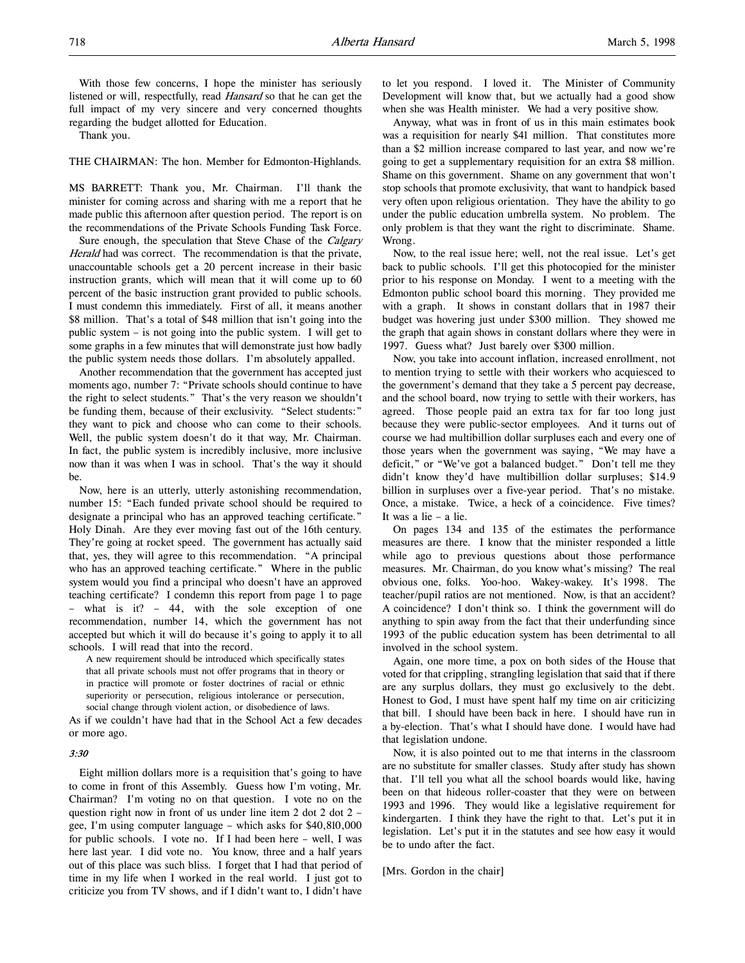With those few concerns, I hope the minister has seriously listened or will, respectfully, read Hansard so that he can get the full impact of my very sincere and very concerned thoughts regarding the budget allotted for Education.

Thank you.

THE CHAIRMAN: The hon. Member for Edmonton-Highlands.

MS BARRETT: Thank you, Mr. Chairman. I'll thank the minister for coming across and sharing with me a report that he made public this afternoon after question period. The report is on the recommendations of the Private Schools Funding Task Force.

Sure enough, the speculation that Steve Chase of the Calgary Herald had was correct. The recommendation is that the private, unaccountable schools get a 20 percent increase in their basic instruction grants, which will mean that it will come up to 60 percent of the basic instruction grant provided to public schools. I must condemn this immediately. First of all, it means another \$8 million. That's a total of \$48 million that isn't going into the public system – is not going into the public system. I will get to some graphs in a few minutes that will demonstrate just how badly the public system needs those dollars. I'm absolutely appalled.

Another recommendation that the government has accepted just moments ago, number 7: "Private schools should continue to have the right to select students." That's the very reason we shouldn't be funding them, because of their exclusivity. "Select students:" they want to pick and choose who can come to their schools. Well, the public system doesn't do it that way, Mr. Chairman. In fact, the public system is incredibly inclusive, more inclusive now than it was when I was in school. That's the way it should be.

Now, here is an utterly, utterly astonishing recommendation, number 15: "Each funded private school should be required to designate a principal who has an approved teaching certificate." Holy Dinah. Are they ever moving fast out of the 16th century. They're going at rocket speed. The government has actually said that, yes, they will agree to this recommendation. "A principal who has an approved teaching certificate." Where in the public system would you find a principal who doesn't have an approved teaching certificate? I condemn this report from page 1 to page – what is it? – 44, with the sole exception of one recommendation, number 14, which the government has not accepted but which it will do because it's going to apply it to all schools. I will read that into the record.

A new requirement should be introduced which specifically states that all private schools must not offer programs that in theory or in practice will promote or foster doctrines of racial or ethnic superiority or persecution, religious intolerance or persecution, social change through violent action, or disobedience of laws.

As if we couldn't have had that in the School Act a few decades or more ago.

#### 3:30

Eight million dollars more is a requisition that's going to have to come in front of this Assembly. Guess how I'm voting, Mr. Chairman? I'm voting no on that question. I vote no on the question right now in front of us under line item  $2$  dot  $2$  dot  $2$ gee, I'm using computer language – which asks for \$40,810,000 for public schools. I vote no. If I had been here – well, I was here last year. I did vote no. You know, three and a half years out of this place was such bliss. I forget that I had that period of time in my life when I worked in the real world. I just got to criticize you from TV shows, and if I didn't want to, I didn't have

to let you respond. I loved it. The Minister of Community Development will know that, but we actually had a good show when she was Health minister. We had a very positive show.

Anyway, what was in front of us in this main estimates book was a requisition for nearly \$41 million. That constitutes more than a \$2 million increase compared to last year, and now we're going to get a supplementary requisition for an extra \$8 million. Shame on this government. Shame on any government that won't stop schools that promote exclusivity, that want to handpick based very often upon religious orientation. They have the ability to go under the public education umbrella system. No problem. The only problem is that they want the right to discriminate. Shame. Wrong.

Now, to the real issue here; well, not the real issue. Let's get back to public schools. I'll get this photocopied for the minister prior to his response on Monday. I went to a meeting with the Edmonton public school board this morning. They provided me with a graph. It shows in constant dollars that in 1987 their budget was hovering just under \$300 million. They showed me the graph that again shows in constant dollars where they were in 1997. Guess what? Just barely over \$300 million.

Now, you take into account inflation, increased enrollment, not to mention trying to settle with their workers who acquiesced to the government's demand that they take a 5 percent pay decrease, and the school board, now trying to settle with their workers, has agreed. Those people paid an extra tax for far too long just because they were public-sector employees. And it turns out of course we had multibillion dollar surpluses each and every one of those years when the government was saying, "We may have a deficit," or "We've got a balanced budget." Don't tell me they didn't know they'd have multibillion dollar surpluses; \$14.9 billion in surpluses over a five-year period. That's no mistake. Once, a mistake. Twice, a heck of a coincidence. Five times? It was a lie – a lie.

On pages 134 and 135 of the estimates the performance measures are there. I know that the minister responded a little while ago to previous questions about those performance measures. Mr. Chairman, do you know what's missing? The real obvious one, folks. Yoo-hoo. Wakey-wakey. It's 1998. The teacher/pupil ratios are not mentioned. Now, is that an accident? A coincidence? I don't think so. I think the government will do anything to spin away from the fact that their underfunding since 1993 of the public education system has been detrimental to all involved in the school system.

Again, one more time, a pox on both sides of the House that voted for that crippling, strangling legislation that said that if there are any surplus dollars, they must go exclusively to the debt. Honest to God, I must have spent half my time on air criticizing that bill. I should have been back in here. I should have run in a by-election. That's what I should have done. I would have had that legislation undone.

Now, it is also pointed out to me that interns in the classroom are no substitute for smaller classes. Study after study has shown that. I'll tell you what all the school boards would like, having been on that hideous roller-coaster that they were on between 1993 and 1996. They would like a legislative requirement for kindergarten. I think they have the right to that. Let's put it in legislation. Let's put it in the statutes and see how easy it would be to undo after the fact.

# [Mrs. Gordon in the chair]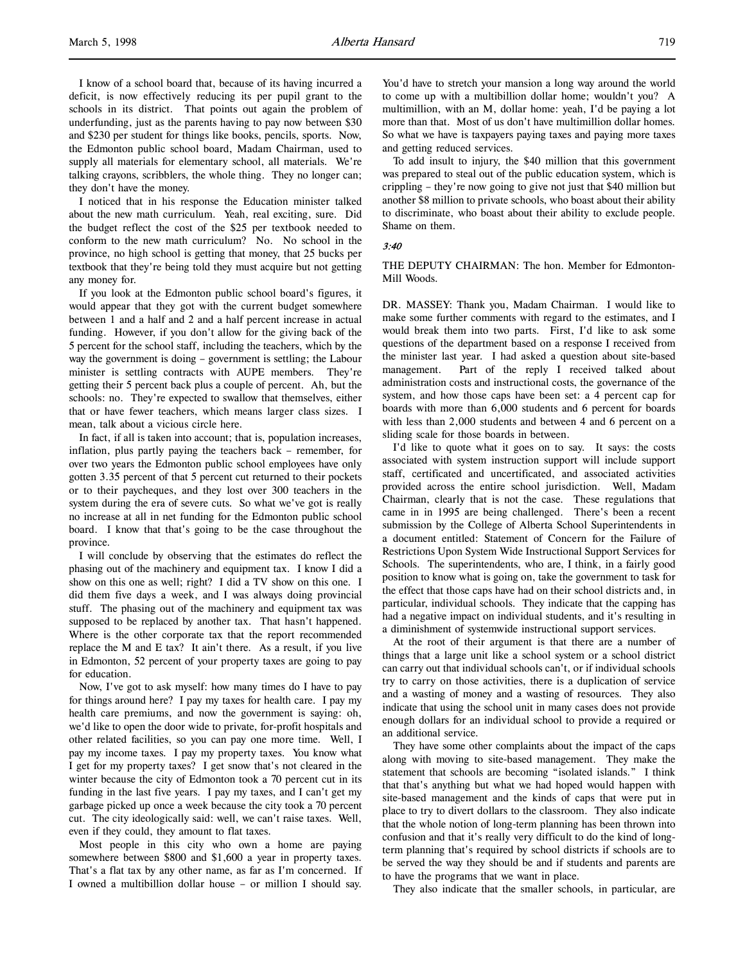I know of a school board that, because of its having incurred a deficit, is now effectively reducing its per pupil grant to the schools in its district. That points out again the problem of underfunding, just as the parents having to pay now between \$30 and \$230 per student for things like books, pencils, sports. Now, the Edmonton public school board, Madam Chairman, used to supply all materials for elementary school, all materials. We're talking crayons, scribblers, the whole thing. They no longer can; they don't have the money.

I noticed that in his response the Education minister talked about the new math curriculum. Yeah, real exciting, sure. Did the budget reflect the cost of the \$25 per textbook needed to conform to the new math curriculum? No. No school in the province, no high school is getting that money, that 25 bucks per textbook that they're being told they must acquire but not getting any money for.

If you look at the Edmonton public school board's figures, it would appear that they got with the current budget somewhere between 1 and a half and 2 and a half percent increase in actual funding. However, if you don't allow for the giving back of the 5 percent for the school staff, including the teachers, which by the way the government is doing – government is settling; the Labour minister is settling contracts with AUPE members. They're getting their 5 percent back plus a couple of percent. Ah, but the schools: no. They're expected to swallow that themselves, either that or have fewer teachers, which means larger class sizes. I mean, talk about a vicious circle here.

In fact, if all is taken into account; that is, population increases, inflation, plus partly paying the teachers back – remember, for over two years the Edmonton public school employees have only gotten 3.35 percent of that 5 percent cut returned to their pockets or to their paycheques, and they lost over 300 teachers in the system during the era of severe cuts. So what we've got is really no increase at all in net funding for the Edmonton public school board. I know that that's going to be the case throughout the province.

I will conclude by observing that the estimates do reflect the phasing out of the machinery and equipment tax. I know I did a show on this one as well; right? I did a TV show on this one. I did them five days a week, and I was always doing provincial stuff. The phasing out of the machinery and equipment tax was supposed to be replaced by another tax. That hasn't happened. Where is the other corporate tax that the report recommended replace the M and E tax? It ain't there. As a result, if you live in Edmonton, 52 percent of your property taxes are going to pay for education.

Now, I've got to ask myself: how many times do I have to pay for things around here? I pay my taxes for health care. I pay my health care premiums, and now the government is saying: oh, we'd like to open the door wide to private, for-profit hospitals and other related facilities, so you can pay one more time. Well, I pay my income taxes. I pay my property taxes. You know what I get for my property taxes? I get snow that's not cleared in the winter because the city of Edmonton took a 70 percent cut in its funding in the last five years. I pay my taxes, and I can't get my garbage picked up once a week because the city took a 70 percent cut. The city ideologically said: well, we can't raise taxes. Well, even if they could, they amount to flat taxes.

Most people in this city who own a home are paying somewhere between \$800 and \$1,600 a year in property taxes. That's a flat tax by any other name, as far as I'm concerned. If I owned a multibillion dollar house – or million I should say.

You'd have to stretch your mansion a long way around the world to come up with a multibillion dollar home; wouldn't you? A multimillion, with an M, dollar home: yeah, I'd be paying a lot more than that. Most of us don't have multimillion dollar homes. So what we have is taxpayers paying taxes and paying more taxes and getting reduced services.

To add insult to injury, the \$40 million that this government was prepared to steal out of the public education system, which is crippling – they're now going to give not just that \$40 million but another \$8 million to private schools, who boast about their ability to discriminate, who boast about their ability to exclude people. Shame on them.

#### 3:40

THE DEPUTY CHAIRMAN: The hon. Member for Edmonton-Mill Woods.

DR. MASSEY: Thank you, Madam Chairman. I would like to make some further comments with regard to the estimates, and I would break them into two parts. First, I'd like to ask some questions of the department based on a response I received from the minister last year. I had asked a question about site-based management. Part of the reply I received talked about administration costs and instructional costs, the governance of the system, and how those caps have been set: a 4 percent cap for boards with more than 6,000 students and 6 percent for boards with less than 2,000 students and between 4 and 6 percent on a sliding scale for those boards in between.

I'd like to quote what it goes on to say. It says: the costs associated with system instruction support will include support staff, certificated and uncertificated, and associated activities provided across the entire school jurisdiction. Well, Madam Chairman, clearly that is not the case. These regulations that came in in 1995 are being challenged. There's been a recent submission by the College of Alberta School Superintendents in a document entitled: Statement of Concern for the Failure of Restrictions Upon System Wide Instructional Support Services for Schools. The superintendents, who are, I think, in a fairly good position to know what is going on, take the government to task for the effect that those caps have had on their school districts and, in particular, individual schools. They indicate that the capping has had a negative impact on individual students, and it's resulting in a diminishment of systemwide instructional support services.

At the root of their argument is that there are a number of things that a large unit like a school system or a school district can carry out that individual schools can't, or if individual schools try to carry on those activities, there is a duplication of service and a wasting of money and a wasting of resources. They also indicate that using the school unit in many cases does not provide enough dollars for an individual school to provide a required or an additional service.

They have some other complaints about the impact of the caps along with moving to site-based management. They make the statement that schools are becoming "isolated islands." I think that that's anything but what we had hoped would happen with site-based management and the kinds of caps that were put in place to try to divert dollars to the classroom. They also indicate that the whole notion of long-term planning has been thrown into confusion and that it's really very difficult to do the kind of longterm planning that's required by school districts if schools are to be served the way they should be and if students and parents are to have the programs that we want in place.

They also indicate that the smaller schools, in particular, are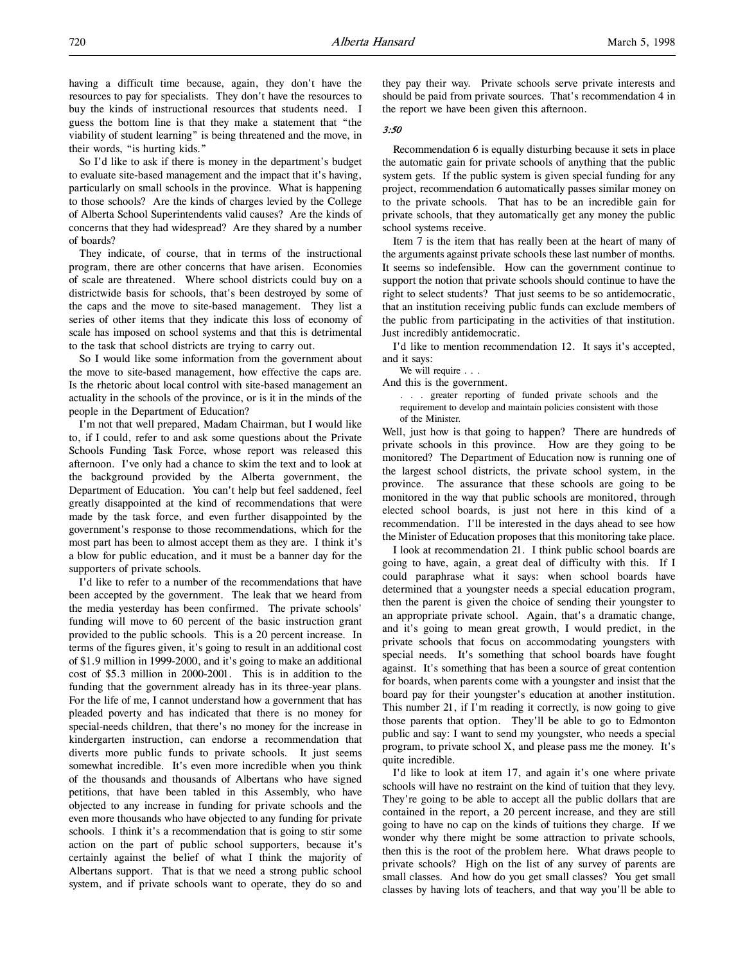having a difficult time because, again, they don't have the resources to pay for specialists. They don't have the resources to buy the kinds of instructional resources that students need. I guess the bottom line is that they make a statement that "the viability of student learning" is being threatened and the move, in their words, "is hurting kids."

So I'd like to ask if there is money in the department's budget to evaluate site-based management and the impact that it's having, particularly on small schools in the province. What is happening to those schools? Are the kinds of charges levied by the College of Alberta School Superintendents valid causes? Are the kinds of concerns that they had widespread? Are they shared by a number of boards?

They indicate, of course, that in terms of the instructional program, there are other concerns that have arisen. Economies of scale are threatened. Where school districts could buy on a districtwide basis for schools, that's been destroyed by some of the caps and the move to site-based management. They list a series of other items that they indicate this loss of economy of scale has imposed on school systems and that this is detrimental to the task that school districts are trying to carry out.

So I would like some information from the government about the move to site-based management, how effective the caps are. Is the rhetoric about local control with site-based management an actuality in the schools of the province, or is it in the minds of the people in the Department of Education?

I'm not that well prepared, Madam Chairman, but I would like to, if I could, refer to and ask some questions about the Private Schools Funding Task Force, whose report was released this afternoon. I've only had a chance to skim the text and to look at the background provided by the Alberta government, the Department of Education. You can't help but feel saddened, feel greatly disappointed at the kind of recommendations that were made by the task force, and even further disappointed by the government's response to those recommendations, which for the most part has been to almost accept them as they are. I think it's a blow for public education, and it must be a banner day for the supporters of private schools.

I'd like to refer to a number of the recommendations that have been accepted by the government. The leak that we heard from the media yesterday has been confirmed. The private schools' funding will move to 60 percent of the basic instruction grant provided to the public schools. This is a 20 percent increase. In terms of the figures given, it's going to result in an additional cost of \$1.9 million in 1999-2000, and it's going to make an additional cost of \$5.3 million in 2000-2001. This is in addition to the funding that the government already has in its three-year plans. For the life of me, I cannot understand how a government that has pleaded poverty and has indicated that there is no money for special-needs children, that there's no money for the increase in kindergarten instruction, can endorse a recommendation that diverts more public funds to private schools. It just seems somewhat incredible. It's even more incredible when you think of the thousands and thousands of Albertans who have signed petitions, that have been tabled in this Assembly, who have objected to any increase in funding for private schools and the even more thousands who have objected to any funding for private schools. I think it's a recommendation that is going to stir some action on the part of public school supporters, because it's certainly against the belief of what I think the majority of Albertans support. That is that we need a strong public school system, and if private schools want to operate, they do so and

they pay their way. Private schools serve private interests and should be paid from private sources. That's recommendation 4 in the report we have been given this afternoon.

#### 3:50

Recommendation 6 is equally disturbing because it sets in place the automatic gain for private schools of anything that the public system gets. If the public system is given special funding for any project, recommendation 6 automatically passes similar money on to the private schools. That has to be an incredible gain for private schools, that they automatically get any money the public school systems receive.

Item 7 is the item that has really been at the heart of many of the arguments against private schools these last number of months. It seems so indefensible. How can the government continue to support the notion that private schools should continue to have the right to select students? That just seems to be so antidemocratic, that an institution receiving public funds can exclude members of the public from participating in the activities of that institution. Just incredibly antidemocratic.

I'd like to mention recommendation 12. It says it's accepted, and it says:

We will require . . .

And this is the government.

. . . greater reporting of funded private schools and the requirement to develop and maintain policies consistent with those of the Minister.

Well, just how is that going to happen? There are hundreds of private schools in this province. How are they going to be monitored? The Department of Education now is running one of the largest school districts, the private school system, in the province. The assurance that these schools are going to be monitored in the way that public schools are monitored, through elected school boards, is just not here in this kind of a recommendation. I'll be interested in the days ahead to see how the Minister of Education proposes that this monitoring take place.

I look at recommendation 21. I think public school boards are going to have, again, a great deal of difficulty with this. If I could paraphrase what it says: when school boards have determined that a youngster needs a special education program, then the parent is given the choice of sending their youngster to an appropriate private school. Again, that's a dramatic change, and it's going to mean great growth, I would predict, in the private schools that focus on accommodating youngsters with special needs. It's something that school boards have fought against. It's something that has been a source of great contention for boards, when parents come with a youngster and insist that the board pay for their youngster's education at another institution. This number 21, if I'm reading it correctly, is now going to give those parents that option. They'll be able to go to Edmonton public and say: I want to send my youngster, who needs a special program, to private school X, and please pass me the money. It's quite incredible.

I'd like to look at item 17, and again it's one where private schools will have no restraint on the kind of tuition that they levy. They're going to be able to accept all the public dollars that are contained in the report, a 20 percent increase, and they are still going to have no cap on the kinds of tuitions they charge. If we wonder why there might be some attraction to private schools, then this is the root of the problem here. What draws people to private schools? High on the list of any survey of parents are small classes. And how do you get small classes? You get small classes by having lots of teachers, and that way you'll be able to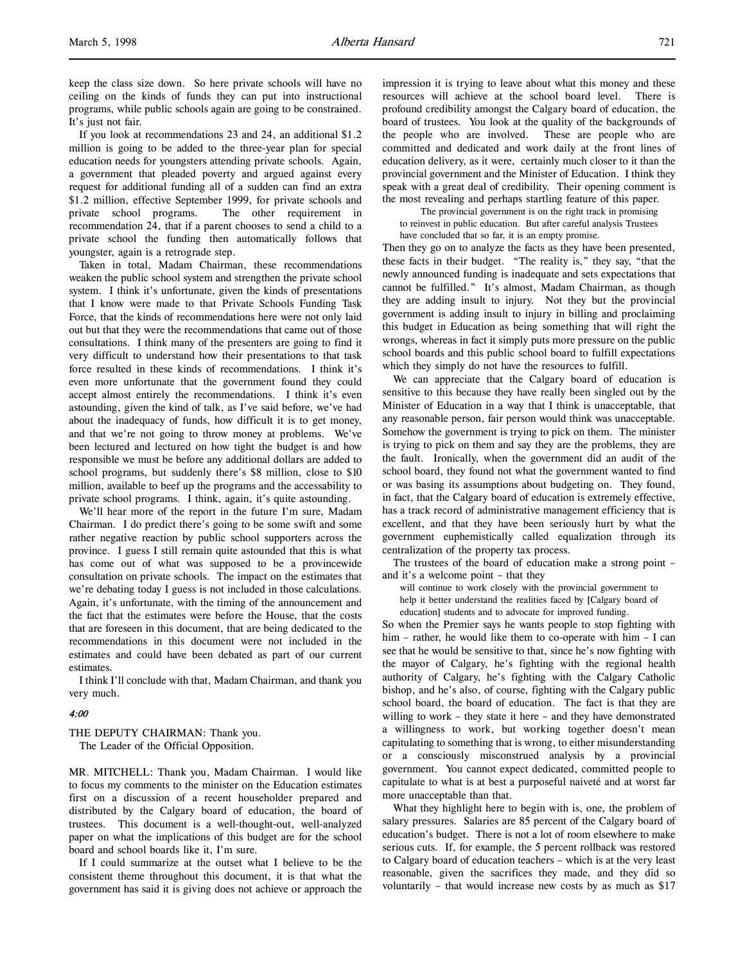keep the class size down. So here private schools will have no ceiling on the kinds of funds they can put into instructional programs, while public schools again are going to be constrained. It's just not fair.

If you look at recommendations 23 and 24, an additional \$1.2 million is going to be added to the three-year plan for special education needs for youngsters attending private schools. Again, a government that pleaded poverty and argued against every request for additional funding all of a sudden can find an extra \$1.2 million, effective September 1999, for private schools and private school programs. The other requirement in recommendation 24, that if a parent chooses to send a child to a private school the funding then automatically follows that youngster, again is a retrograde step.

Taken in total, Madam Chairman, these recommendations weaken the public school system and strengthen the private school system. I think it's unfortunate, given the kinds of presentations that I know were made to that Private Schools Funding Task Force, that the kinds of recommendations here were not only laid out but that they were the recommendations that came out of those consultations. I think many of the presenters are going to find it very difficult to understand how their presentations to that task force resulted in these kinds of recommendations. I think it's even more unfortunate that the government found they could accept almost entirely the recommendations. I think it's even astounding, given the kind of talk, as I've said before, we've had about the inadequacy of funds, how difficult it is to get money, and that we're not going to throw money at problems. We've been lectured and lectured on how tight the budget is and how responsible we must be before any additional dollars are added to school programs, but suddenly there's \$8 million, close to \$10 million, available to beef up the programs and the accessability to private school programs. I think, again, it's quite astounding.

We'll hear more of the report in the future I'm sure, Madam Chairman. I do predict there's going to be some swift and some rather negative reaction by public school supporters across the province. I guess I still remain quite astounded that this is what has come out of what was supposed to be a provincewide consultation on private schools. The impact on the estimates that we're debating today I guess is not included in those calculations. Again, it's unfortunate, with the timing of the announcement and the fact that the estimates were before the House, that the costs that are foreseen in this document, that are being dedicated to the recommendations in this document were not included in the estimates and could have been debated as part of our current estimates.

I think I'll conclude with that, Madam Chairman, and thank you very much.

# 4:00

THE DEPUTY CHAIRMAN: Thank you. The Leader of the Official Opposition.

MR. MITCHELL: Thank you, Madam Chairman. I would like to focus my comments to the minister on the Education estimates first on a discussion of a recent householder prepared and distributed by the Calgary board of education, the board of trustees. This document is a well-thought-out, well-analyzed paper on what the implications of this budget are for the school board and school boards like it, I'm sure.

If I could summarize at the outset what I believe to be the consistent theme throughout this document, it is that what the government has said it is giving does not achieve or approach the

impression it is trying to leave about what this money and these resources will achieve at the school board level. There is profound credibility amongst the Calgary board of education, the board of trustees. You look at the quality of the backgrounds of the people who are involved. These are people who are committed and dedicated and work daily at the front lines of education delivery, as it were, certainly much closer to it than the provincial government and the Minister of Education. I think they speak with a great deal of credibility. Their opening comment is the most revealing and perhaps startling feature of this paper.

The provincial government is on the right track in promising to reinvest in public education. But after careful analysis Trustees have concluded that so far, it is an empty promise.

Then they go on to analyze the facts as they have been presented, these facts in their budget. "The reality is," they say, "that the newly announced funding is inadequate and sets expectations that cannot be fulfilled." It's almost, Madam Chairman, as though they are adding insult to injury. Not they but the provincial government is adding insult to injury in billing and proclaiming this budget in Education as being something that will right the wrongs, whereas in fact it simply puts more pressure on the public school boards and this public school board to fulfill expectations which they simply do not have the resources to fulfill.

We can appreciate that the Calgary board of education is sensitive to this because they have really been singled out by the Minister of Education in a way that I think is unacceptable, that any reasonable person, fair person would think was unacceptable. Somehow the government is trying to pick on them. The minister is trying to pick on them and say they are the problems, they are the fault. Ironically, when the government did an audit of the school board, they found not what the government wanted to find or was basing its assumptions about budgeting on. They found, in fact, that the Calgary board of education is extremely effective, has a track record of administrative management efficiency that is excellent, and that they have been seriously hurt by what the government euphemistically called equalization through its centralization of the property tax process.

The trustees of the board of education make a strong point – and it's a welcome point – that they

will continue to work closely with the provincial government to help it better understand the realities faced by [Calgary board of education] students and to advocate for improved funding.

So when the Premier says he wants people to stop fighting with him – rather, he would like them to co-operate with him – I can see that he would be sensitive to that, since he's now fighting with the mayor of Calgary, he's fighting with the regional health authority of Calgary, he's fighting with the Calgary Catholic bishop, and he's also, of course, fighting with the Calgary public school board, the board of education. The fact is that they are willing to work – they state it here – and they have demonstrated a willingness to work, but working together doesn't mean capitulating to something that is wrong, to either misunderstanding or a consciously misconstrued analysis by a provincial government. You cannot expect dedicated, committed people to capitulate to what is at best a purposeful naiveté and at worst far more unacceptable than that.

What they highlight here to begin with is, one, the problem of salary pressures. Salaries are 85 percent of the Calgary board of education's budget. There is not a lot of room elsewhere to make serious cuts. If, for example, the 5 percent rollback was restored to Calgary board of education teachers – which is at the very least reasonable, given the sacrifices they made, and they did so voluntarily – that would increase new costs by as much as \$17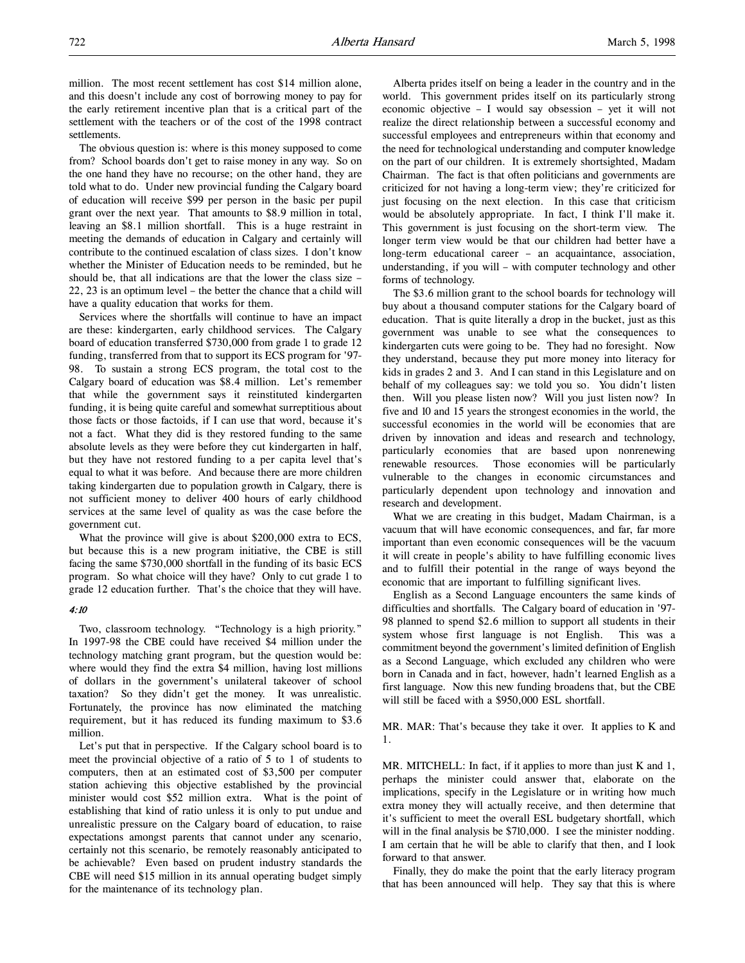million. The most recent settlement has cost \$14 million alone, and this doesn't include any cost of borrowing money to pay for the early retirement incentive plan that is a critical part of the settlement with the teachers or of the cost of the 1998 contract settlements.

The obvious question is: where is this money supposed to come from? School boards don't get to raise money in any way. So on the one hand they have no recourse; on the other hand, they are told what to do. Under new provincial funding the Calgary board of education will receive \$99 per person in the basic per pupil grant over the next year. That amounts to \$8.9 million in total, leaving an \$8.1 million shortfall. This is a huge restraint in meeting the demands of education in Calgary and certainly will contribute to the continued escalation of class sizes. I don't know whether the Minister of Education needs to be reminded, but he should be, that all indications are that the lower the class size – 22, 23 is an optimum level – the better the chance that a child will have a quality education that works for them.

Services where the shortfalls will continue to have an impact are these: kindergarten, early childhood services. The Calgary board of education transferred \$730,000 from grade 1 to grade 12 funding, transferred from that to support its ECS program for '97- 98. To sustain a strong ECS program, the total cost to the Calgary board of education was \$8.4 million. Let's remember that while the government says it reinstituted kindergarten funding, it is being quite careful and somewhat surreptitious about those facts or those factoids, if I can use that word, because it's not a fact. What they did is they restored funding to the same absolute levels as they were before they cut kindergarten in half, but they have not restored funding to a per capita level that's equal to what it was before. And because there are more children taking kindergarten due to population growth in Calgary, there is not sufficient money to deliver 400 hours of early childhood services at the same level of quality as was the case before the government cut.

What the province will give is about \$200,000 extra to ECS, but because this is a new program initiative, the CBE is still facing the same \$730,000 shortfall in the funding of its basic ECS program. So what choice will they have? Only to cut grade 1 to grade 12 education further. That's the choice that they will have.

#### 4:10

Two, classroom technology. "Technology is a high priority." In 1997-98 the CBE could have received \$4 million under the technology matching grant program, but the question would be: where would they find the extra \$4 million, having lost millions of dollars in the government's unilateral takeover of school taxation? So they didn't get the money. It was unrealistic. Fortunately, the province has now eliminated the matching requirement, but it has reduced its funding maximum to \$3.6 million.

Let's put that in perspective. If the Calgary school board is to meet the provincial objective of a ratio of 5 to 1 of students to computers, then at an estimated cost of \$3,500 per computer station achieving this objective established by the provincial minister would cost \$52 million extra. What is the point of establishing that kind of ratio unless it is only to put undue and unrealistic pressure on the Calgary board of education, to raise expectations amongst parents that cannot under any scenario, certainly not this scenario, be remotely reasonably anticipated to be achievable? Even based on prudent industry standards the CBE will need \$15 million in its annual operating budget simply for the maintenance of its technology plan.

Alberta prides itself on being a leader in the country and in the world. This government prides itself on its particularly strong economic objective – I would say obsession – yet it will not realize the direct relationship between a successful economy and successful employees and entrepreneurs within that economy and the need for technological understanding and computer knowledge on the part of our children. It is extremely shortsighted, Madam Chairman. The fact is that often politicians and governments are criticized for not having a long-term view; they're criticized for just focusing on the next election. In this case that criticism would be absolutely appropriate. In fact, I think I'll make it. This government is just focusing on the short-term view. The longer term view would be that our children had better have a long-term educational career – an acquaintance, association, understanding, if you will – with computer technology and other forms of technology.

The \$3.6 million grant to the school boards for technology will buy about a thousand computer stations for the Calgary board of education. That is quite literally a drop in the bucket, just as this government was unable to see what the consequences to kindergarten cuts were going to be. They had no foresight. Now they understand, because they put more money into literacy for kids in grades 2 and 3. And I can stand in this Legislature and on behalf of my colleagues say: we told you so. You didn't listen then. Will you please listen now? Will you just listen now? In five and 10 and 15 years the strongest economies in the world, the successful economies in the world will be economies that are driven by innovation and ideas and research and technology, particularly economies that are based upon nonrenewing renewable resources. Those economies will be particularly vulnerable to the changes in economic circumstances and particularly dependent upon technology and innovation and research and development.

What we are creating in this budget, Madam Chairman, is a vacuum that will have economic consequences, and far, far more important than even economic consequences will be the vacuum it will create in people's ability to have fulfilling economic lives and to fulfill their potential in the range of ways beyond the economic that are important to fulfilling significant lives.

English as a Second Language encounters the same kinds of difficulties and shortfalls. The Calgary board of education in '97- 98 planned to spend \$2.6 million to support all students in their system whose first language is not English. This was a commitment beyond the government's limited definition of English as a Second Language, which excluded any children who were born in Canada and in fact, however, hadn't learned English as a first language. Now this new funding broadens that, but the CBE will still be faced with a \$950,000 ESL shortfall.

MR. MAR: That's because they take it over. It applies to K and 1.

MR. MITCHELL: In fact, if it applies to more than just K and 1, perhaps the minister could answer that, elaborate on the implications, specify in the Legislature or in writing how much extra money they will actually receive, and then determine that it's sufficient to meet the overall ESL budgetary shortfall, which will in the final analysis be \$710,000. I see the minister nodding. I am certain that he will be able to clarify that then, and I look forward to that answer.

Finally, they do make the point that the early literacy program that has been announced will help. They say that this is where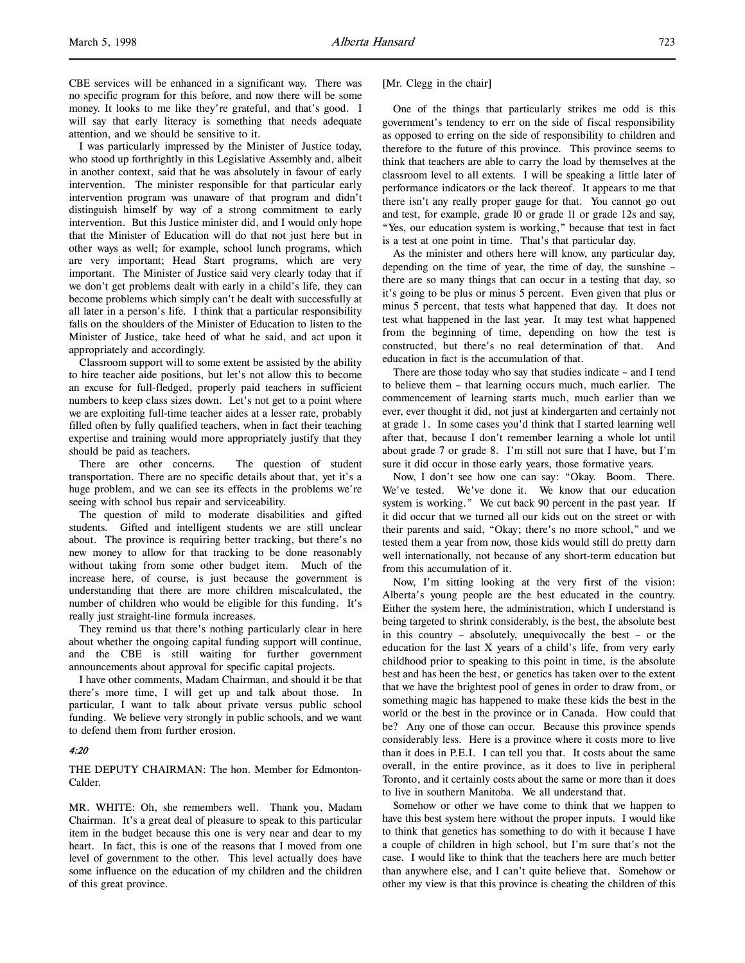CBE services will be enhanced in a significant way. There was no specific program for this before, and now there will be some money. It looks to me like they're grateful, and that's good. I will say that early literacy is something that needs adequate attention, and we should be sensitive to it.

I was particularly impressed by the Minister of Justice today, who stood up forthrightly in this Legislative Assembly and, albeit in another context, said that he was absolutely in favour of early intervention. The minister responsible for that particular early intervention program was unaware of that program and didn't distinguish himself by way of a strong commitment to early intervention. But this Justice minister did, and I would only hope that the Minister of Education will do that not just here but in other ways as well; for example, school lunch programs, which are very important; Head Start programs, which are very important. The Minister of Justice said very clearly today that if we don't get problems dealt with early in a child's life, they can become problems which simply can't be dealt with successfully at all later in a person's life. I think that a particular responsibility falls on the shoulders of the Minister of Education to listen to the Minister of Justice, take heed of what he said, and act upon it appropriately and accordingly.

Classroom support will to some extent be assisted by the ability to hire teacher aide positions, but let's not allow this to become an excuse for full-fledged, properly paid teachers in sufficient numbers to keep class sizes down. Let's not get to a point where we are exploiting full-time teacher aides at a lesser rate, probably filled often by fully qualified teachers, when in fact their teaching expertise and training would more appropriately justify that they should be paid as teachers.

There are other concerns. The question of student transportation. There are no specific details about that, yet it's a huge problem, and we can see its effects in the problems we're seeing with school bus repair and serviceability.

The question of mild to moderate disabilities and gifted students. Gifted and intelligent students we are still unclear about. The province is requiring better tracking, but there's no new money to allow for that tracking to be done reasonably without taking from some other budget item. Much of the increase here, of course, is just because the government is understanding that there are more children miscalculated, the number of children who would be eligible for this funding. It's really just straight-line formula increases.

They remind us that there's nothing particularly clear in here about whether the ongoing capital funding support will continue, and the CBE is still waiting for further government announcements about approval for specific capital projects.

I have other comments, Madam Chairman, and should it be that there's more time, I will get up and talk about those. In particular, I want to talk about private versus public school funding. We believe very strongly in public schools, and we want to defend them from further erosion.

## 4:20

THE DEPUTY CHAIRMAN: The hon. Member for Edmonton-Calder.

MR. WHITE: Oh, she remembers well. Thank you, Madam Chairman. It's a great deal of pleasure to speak to this particular item in the budget because this one is very near and dear to my heart. In fact, this is one of the reasons that I moved from one level of government to the other. This level actually does have some influence on the education of my children and the children of this great province.

[Mr. Clegg in the chair]

One of the things that particularly strikes me odd is this government's tendency to err on the side of fiscal responsibility as opposed to erring on the side of responsibility to children and therefore to the future of this province. This province seems to think that teachers are able to carry the load by themselves at the classroom level to all extents. I will be speaking a little later of performance indicators or the lack thereof. It appears to me that there isn't any really proper gauge for that. You cannot go out and test, for example, grade 10 or grade 11 or grade 12s and say, "Yes, our education system is working," because that test in fact is a test at one point in time. That's that particular day.

As the minister and others here will know, any particular day, depending on the time of year, the time of day, the sunshine – there are so many things that can occur in a testing that day, so it's going to be plus or minus 5 percent. Even given that plus or minus 5 percent, that tests what happened that day. It does not test what happened in the last year. It may test what happened from the beginning of time, depending on how the test is constructed, but there's no real determination of that. And education in fact is the accumulation of that.

There are those today who say that studies indicate – and I tend to believe them – that learning occurs much, much earlier. The commencement of learning starts much, much earlier than we ever, ever thought it did, not just at kindergarten and certainly not at grade 1. In some cases you'd think that I started learning well after that, because I don't remember learning a whole lot until about grade 7 or grade 8. I'm still not sure that I have, but I'm sure it did occur in those early years, those formative years.

Now, I don't see how one can say: "Okay. Boom. There. We've tested. We've done it. We know that our education system is working." We cut back 90 percent in the past year. If it did occur that we turned all our kids out on the street or with their parents and said, "Okay; there's no more school," and we tested them a year from now, those kids would still do pretty darn well internationally, not because of any short-term education but from this accumulation of it.

Now, I'm sitting looking at the very first of the vision: Alberta's young people are the best educated in the country. Either the system here, the administration, which I understand is being targeted to shrink considerably, is the best, the absolute best in this country – absolutely, unequivocally the best – or the education for the last X years of a child's life, from very early childhood prior to speaking to this point in time, is the absolute best and has been the best, or genetics has taken over to the extent that we have the brightest pool of genes in order to draw from, or something magic has happened to make these kids the best in the world or the best in the province or in Canada. How could that be? Any one of those can occur. Because this province spends considerably less. Here is a province where it costs more to live than it does in P.E.I. I can tell you that. It costs about the same overall, in the entire province, as it does to live in peripheral Toronto, and it certainly costs about the same or more than it does to live in southern Manitoba. We all understand that.

Somehow or other we have come to think that we happen to have this best system here without the proper inputs. I would like to think that genetics has something to do with it because I have a couple of children in high school, but I'm sure that's not the case. I would like to think that the teachers here are much better than anywhere else, and I can't quite believe that. Somehow or other my view is that this province is cheating the children of this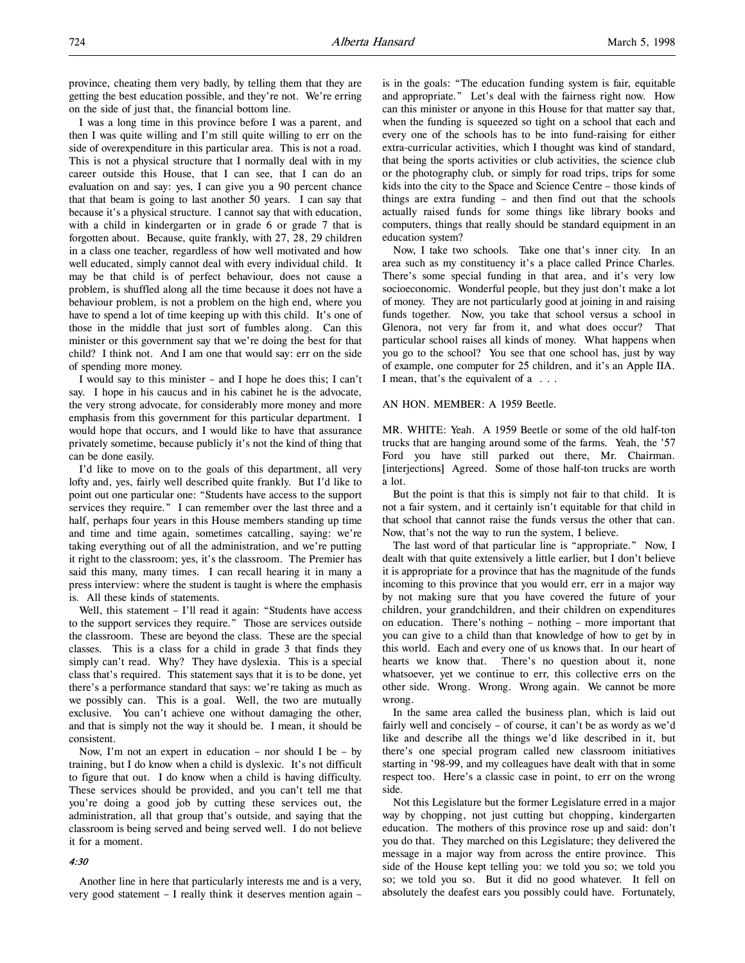province, cheating them very badly, by telling them that they are getting the best education possible, and they're not. We're erring on the side of just that, the financial bottom line.

I was a long time in this province before I was a parent, and then I was quite willing and I'm still quite willing to err on the side of overexpenditure in this particular area. This is not a road. This is not a physical structure that I normally deal with in my career outside this House, that I can see, that I can do an evaluation on and say: yes, I can give you a 90 percent chance that that beam is going to last another 50 years. I can say that because it's a physical structure. I cannot say that with education, with a child in kindergarten or in grade 6 or grade 7 that is forgotten about. Because, quite frankly, with 27, 28, 29 children in a class one teacher, regardless of how well motivated and how well educated, simply cannot deal with every individual child. It may be that child is of perfect behaviour, does not cause a problem, is shuffled along all the time because it does not have a behaviour problem, is not a problem on the high end, where you have to spend a lot of time keeping up with this child. It's one of those in the middle that just sort of fumbles along. Can this minister or this government say that we're doing the best for that child? I think not. And I am one that would say: err on the side of spending more money.

I would say to this minister – and I hope he does this; I can't say. I hope in his caucus and in his cabinet he is the advocate, the very strong advocate, for considerably more money and more emphasis from this government for this particular department. I would hope that occurs, and I would like to have that assurance privately sometime, because publicly it's not the kind of thing that can be done easily.

I'd like to move on to the goals of this department, all very lofty and, yes, fairly well described quite frankly. But I'd like to point out one particular one: "Students have access to the support services they require." I can remember over the last three and a half, perhaps four years in this House members standing up time and time and time again, sometimes catcalling, saying: we're taking everything out of all the administration, and we're putting it right to the classroom; yes, it's the classroom. The Premier has said this many, many times. I can recall hearing it in many a press interview: where the student is taught is where the emphasis is. All these kinds of statements.

Well, this statement – I'll read it again: "Students have access to the support services they require." Those are services outside the classroom. These are beyond the class. These are the special classes. This is a class for a child in grade 3 that finds they simply can't read. Why? They have dyslexia. This is a special class that's required. This statement says that it is to be done, yet there's a performance standard that says: we're taking as much as we possibly can. This is a goal. Well, the two are mutually exclusive. You can't achieve one without damaging the other, and that is simply not the way it should be. I mean, it should be consistent.

Now, I'm not an expert in education – nor should I be – by training, but I do know when a child is dyslexic. It's not difficult to figure that out. I do know when a child is having difficulty. These services should be provided, and you can't tell me that you're doing a good job by cutting these services out, the administration, all that group that's outside, and saying that the classroom is being served and being served well. I do not believe it for a moment.

# 4:30

Another line in here that particularly interests me and is a very, very good statement – I really think it deserves mention again –

is in the goals: "The education funding system is fair, equitable and appropriate." Let's deal with the fairness right now. How can this minister or anyone in this House for that matter say that, when the funding is squeezed so tight on a school that each and every one of the schools has to be into fund-raising for either extra-curricular activities, which I thought was kind of standard, that being the sports activities or club activities, the science club or the photography club, or simply for road trips, trips for some kids into the city to the Space and Science Centre – those kinds of things are extra funding – and then find out that the schools actually raised funds for some things like library books and computers, things that really should be standard equipment in an education system?

Now, I take two schools. Take one that's inner city. In an area such as my constituency it's a place called Prince Charles. There's some special funding in that area, and it's very low socioeconomic. Wonderful people, but they just don't make a lot of money. They are not particularly good at joining in and raising funds together. Now, you take that school versus a school in Glenora, not very far from it, and what does occur? That particular school raises all kinds of money. What happens when you go to the school? You see that one school has, just by way of example, one computer for 25 children, and it's an Apple IIA. I mean, that's the equivalent of a . . .

#### AN HON. MEMBER: A 1959 Beetle.

MR. WHITE: Yeah. A 1959 Beetle or some of the old half-ton trucks that are hanging around some of the farms. Yeah, the '57 Ford you have still parked out there, Mr. Chairman. [interjections] Agreed. Some of those half-ton trucks are worth a lot.

But the point is that this is simply not fair to that child. It is not a fair system, and it certainly isn't equitable for that child in that school that cannot raise the funds versus the other that can. Now, that's not the way to run the system, I believe.

The last word of that particular line is "appropriate." Now, I dealt with that quite extensively a little earlier, but I don't believe it is appropriate for a province that has the magnitude of the funds incoming to this province that you would err, err in a major way by not making sure that you have covered the future of your children, your grandchildren, and their children on expenditures on education. There's nothing – nothing – more important that you can give to a child than that knowledge of how to get by in this world. Each and every one of us knows that. In our heart of hearts we know that. There's no question about it, none whatsoever, yet we continue to err, this collective errs on the other side. Wrong. Wrong. Wrong again. We cannot be more wrong.

In the same area called the business plan, which is laid out fairly well and concisely – of course, it can't be as wordy as we'd like and describe all the things we'd like described in it, but there's one special program called new classroom initiatives starting in '98-99, and my colleagues have dealt with that in some respect too. Here's a classic case in point, to err on the wrong side.

Not this Legislature but the former Legislature erred in a major way by chopping, not just cutting but chopping, kindergarten education. The mothers of this province rose up and said: don't you do that. They marched on this Legislature; they delivered the message in a major way from across the entire province. This side of the House kept telling you: we told you so; we told you so; we told you so. But it did no good whatever. It fell on absolutely the deafest ears you possibly could have. Fortunately,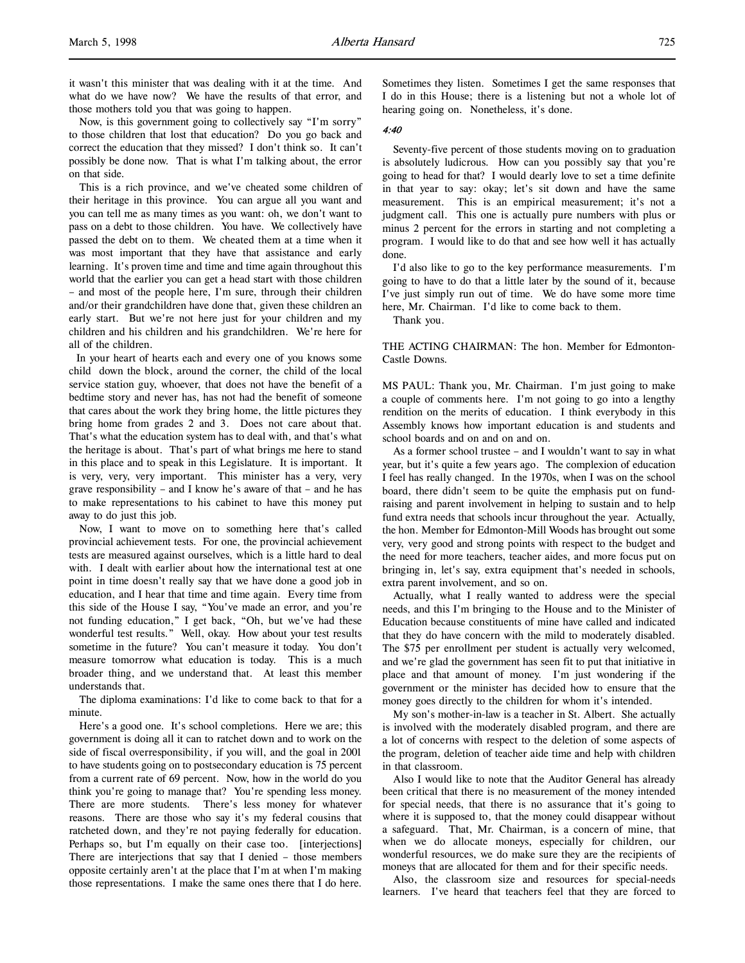it wasn't this minister that was dealing with it at the time. And what do we have now? We have the results of that error, and those mothers told you that was going to happen.

Now, is this government going to collectively say "I'm sorry" to those children that lost that education? Do you go back and correct the education that they missed? I don't think so. It can't possibly be done now. That is what I'm talking about, the error on that side.

This is a rich province, and we've cheated some children of their heritage in this province. You can argue all you want and you can tell me as many times as you want: oh, we don't want to pass on a debt to those children. You have. We collectively have passed the debt on to them. We cheated them at a time when it was most important that they have that assistance and early learning. It's proven time and time and time again throughout this world that the earlier you can get a head start with those children – and most of the people here, I'm sure, through their children and/or their grandchildren have done that, given these children an early start. But we're not here just for your children and my children and his children and his grandchildren. We're here for all of the children.

 In your heart of hearts each and every one of you knows some child down the block, around the corner, the child of the local service station guy, whoever, that does not have the benefit of a bedtime story and never has, has not had the benefit of someone that cares about the work they bring home, the little pictures they bring home from grades 2 and 3. Does not care about that. That's what the education system has to deal with, and that's what the heritage is about. That's part of what brings me here to stand in this place and to speak in this Legislature. It is important. It is very, very, very important. This minister has a very, very grave responsibility – and I know he's aware of that – and he has to make representations to his cabinet to have this money put away to do just this job.

Now, I want to move on to something here that's called provincial achievement tests. For one, the provincial achievement tests are measured against ourselves, which is a little hard to deal with. I dealt with earlier about how the international test at one point in time doesn't really say that we have done a good job in education, and I hear that time and time again. Every time from this side of the House I say, "You've made an error, and you're not funding education," I get back, "Oh, but we've had these wonderful test results." Well, okay. How about your test results sometime in the future? You can't measure it today. You don't measure tomorrow what education is today. This is a much broader thing, and we understand that. At least this member understands that.

The diploma examinations: I'd like to come back to that for a minute.

Here's a good one. It's school completions. Here we are; this government is doing all it can to ratchet down and to work on the side of fiscal overresponsibility, if you will, and the goal in 2001 to have students going on to postsecondary education is 75 percent from a current rate of 69 percent. Now, how in the world do you think you're going to manage that? You're spending less money. There are more students. There's less money for whatever reasons. There are those who say it's my federal cousins that ratcheted down, and they're not paying federally for education. Perhaps so, but I'm equally on their case too. [interjections] There are interjections that say that I denied – those members opposite certainly aren't at the place that I'm at when I'm making those representations. I make the same ones there that I do here.

Sometimes they listen. Sometimes I get the same responses that I do in this House; there is a listening but not a whole lot of hearing going on. Nonetheless, it's done.

#### 4:40

Seventy-five percent of those students moving on to graduation is absolutely ludicrous. How can you possibly say that you're going to head for that? I would dearly love to set a time definite in that year to say: okay; let's sit down and have the same measurement. This is an empirical measurement; it's not a judgment call. This one is actually pure numbers with plus or minus 2 percent for the errors in starting and not completing a program. I would like to do that and see how well it has actually done.

I'd also like to go to the key performance measurements. I'm going to have to do that a little later by the sound of it, because I've just simply run out of time. We do have some more time here, Mr. Chairman. I'd like to come back to them.

Thank you.

THE ACTING CHAIRMAN: The hon. Member for Edmonton-Castle Downs.

MS PAUL: Thank you, Mr. Chairman. I'm just going to make a couple of comments here. I'm not going to go into a lengthy rendition on the merits of education. I think everybody in this Assembly knows how important education is and students and school boards and on and on and on.

As a former school trustee – and I wouldn't want to say in what year, but it's quite a few years ago. The complexion of education I feel has really changed. In the 1970s, when I was on the school board, there didn't seem to be quite the emphasis put on fundraising and parent involvement in helping to sustain and to help fund extra needs that schools incur throughout the year. Actually, the hon. Member for Edmonton-Mill Woods has brought out some very, very good and strong points with respect to the budget and the need for more teachers, teacher aides, and more focus put on bringing in, let's say, extra equipment that's needed in schools, extra parent involvement, and so on.

Actually, what I really wanted to address were the special needs, and this I'm bringing to the House and to the Minister of Education because constituents of mine have called and indicated that they do have concern with the mild to moderately disabled. The \$75 per enrollment per student is actually very welcomed, and we're glad the government has seen fit to put that initiative in place and that amount of money. I'm just wondering if the government or the minister has decided how to ensure that the money goes directly to the children for whom it's intended.

My son's mother-in-law is a teacher in St. Albert. She actually is involved with the moderately disabled program, and there are a lot of concerns with respect to the deletion of some aspects of the program, deletion of teacher aide time and help with children in that classroom.

Also I would like to note that the Auditor General has already been critical that there is no measurement of the money intended for special needs, that there is no assurance that it's going to where it is supposed to, that the money could disappear without a safeguard. That, Mr. Chairman, is a concern of mine, that when we do allocate moneys, especially for children, our wonderful resources, we do make sure they are the recipients of moneys that are allocated for them and for their specific needs.

Also, the classroom size and resources for special-needs learners. I've heard that teachers feel that they are forced to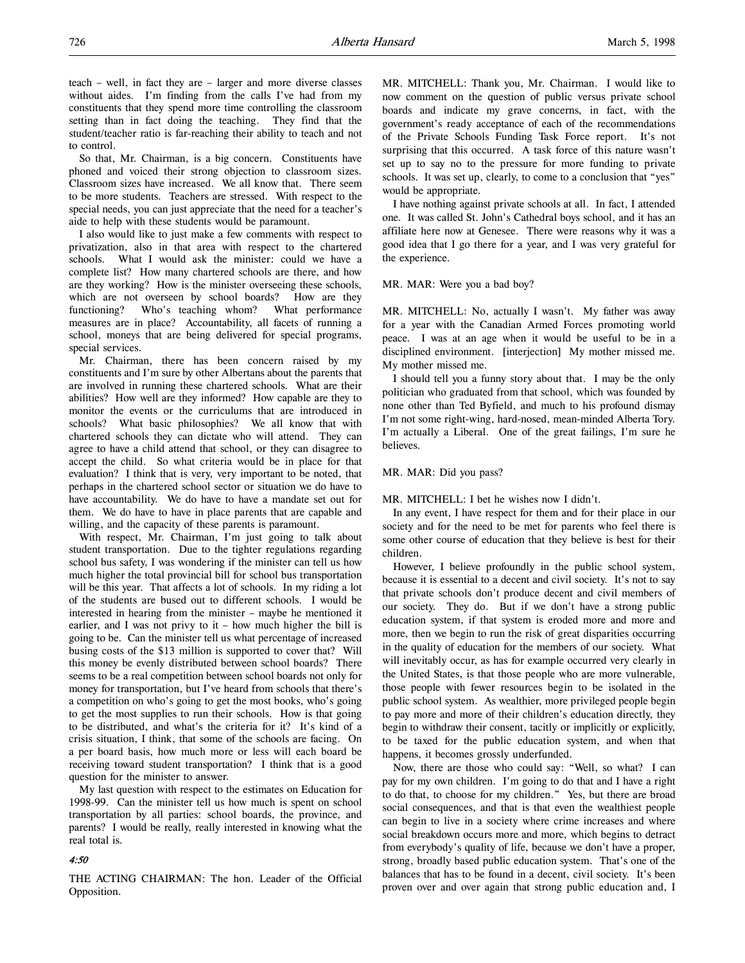teach – well, in fact they are – larger and more diverse classes without aides. I'm finding from the calls I've had from my constituents that they spend more time controlling the classroom setting than in fact doing the teaching. They find that the student/teacher ratio is far-reaching their ability to teach and not to control.

So that, Mr. Chairman, is a big concern. Constituents have phoned and voiced their strong objection to classroom sizes. Classroom sizes have increased. We all know that. There seem to be more students. Teachers are stressed. With respect to the special needs, you can just appreciate that the need for a teacher's aide to help with these students would be paramount.

I also would like to just make a few comments with respect to privatization, also in that area with respect to the chartered schools. What I would ask the minister: could we have a complete list? How many chartered schools are there, and how are they working? How is the minister overseeing these schools, which are not overseen by school boards? How are they functioning? Who's teaching whom? What performance measures are in place? Accountability, all facets of running a school, moneys that are being delivered for special programs, special services.

Mr. Chairman, there has been concern raised by my constituents and I'm sure by other Albertans about the parents that are involved in running these chartered schools. What are their abilities? How well are they informed? How capable are they to monitor the events or the curriculums that are introduced in schools? What basic philosophies? We all know that with chartered schools they can dictate who will attend. They can agree to have a child attend that school, or they can disagree to accept the child. So what criteria would be in place for that evaluation? I think that is very, very important to be noted, that perhaps in the chartered school sector or situation we do have to have accountability. We do have to have a mandate set out for them. We do have to have in place parents that are capable and willing, and the capacity of these parents is paramount.

With respect, Mr. Chairman, I'm just going to talk about student transportation. Due to the tighter regulations regarding school bus safety, I was wondering if the minister can tell us how much higher the total provincial bill for school bus transportation will be this year. That affects a lot of schools. In my riding a lot of the students are bused out to different schools. I would be interested in hearing from the minister – maybe he mentioned it earlier, and I was not privy to it – how much higher the bill is going to be. Can the minister tell us what percentage of increased busing costs of the \$13 million is supported to cover that? Will this money be evenly distributed between school boards? There seems to be a real competition between school boards not only for money for transportation, but I've heard from schools that there's a competition on who's going to get the most books, who's going to get the most supplies to run their schools. How is that going to be distributed, and what's the criteria for it? It's kind of a crisis situation, I think, that some of the schools are facing. On a per board basis, how much more or less will each board be receiving toward student transportation? I think that is a good question for the minister to answer.

My last question with respect to the estimates on Education for 1998-99. Can the minister tell us how much is spent on school transportation by all parties: school boards, the province, and parents? I would be really, really interested in knowing what the real total is.

# 4:50

THE ACTING CHAIRMAN: The hon. Leader of the Official Opposition.

MR. MITCHELL: Thank you, Mr. Chairman. I would like to now comment on the question of public versus private school boards and indicate my grave concerns, in fact, with the government's ready acceptance of each of the recommendations of the Private Schools Funding Task Force report. It's not surprising that this occurred. A task force of this nature wasn't set up to say no to the pressure for more funding to private schools. It was set up, clearly, to come to a conclusion that "yes" would be appropriate.

I have nothing against private schools at all. In fact, I attended one. It was called St. John's Cathedral boys school, and it has an affiliate here now at Genesee. There were reasons why it was a good idea that I go there for a year, and I was very grateful for the experience.

#### MR. MAR: Were you a bad boy?

MR. MITCHELL: No, actually I wasn't. My father was away for a year with the Canadian Armed Forces promoting world peace. I was at an age when it would be useful to be in a disciplined environment. [interjection] My mother missed me. My mother missed me.

I should tell you a funny story about that. I may be the only politician who graduated from that school, which was founded by none other than Ted Byfield, and much to his profound dismay I'm not some right-wing, hard-nosed, mean-minded Alberta Tory. I'm actually a Liberal. One of the great failings, I'm sure he believes.

# MR. MAR: Did you pass?

MR. MITCHELL: I bet he wishes now I didn't.

In any event, I have respect for them and for their place in our society and for the need to be met for parents who feel there is some other course of education that they believe is best for their children.

However, I believe profoundly in the public school system, because it is essential to a decent and civil society. It's not to say that private schools don't produce decent and civil members of our society. They do. But if we don't have a strong public education system, if that system is eroded more and more and more, then we begin to run the risk of great disparities occurring in the quality of education for the members of our society. What will inevitably occur, as has for example occurred very clearly in the United States, is that those people who are more vulnerable, those people with fewer resources begin to be isolated in the public school system. As wealthier, more privileged people begin to pay more and more of their children's education directly, they begin to withdraw their consent, tacitly or implicitly or explicitly, to be taxed for the public education system, and when that happens, it becomes grossly underfunded.

Now, there are those who could say: "Well, so what? I can pay for my own children. I'm going to do that and I have a right to do that, to choose for my children." Yes, but there are broad social consequences, and that is that even the wealthiest people can begin to live in a society where crime increases and where social breakdown occurs more and more, which begins to detract from everybody's quality of life, because we don't have a proper, strong, broadly based public education system. That's one of the balances that has to be found in a decent, civil society. It's been proven over and over again that strong public education and, I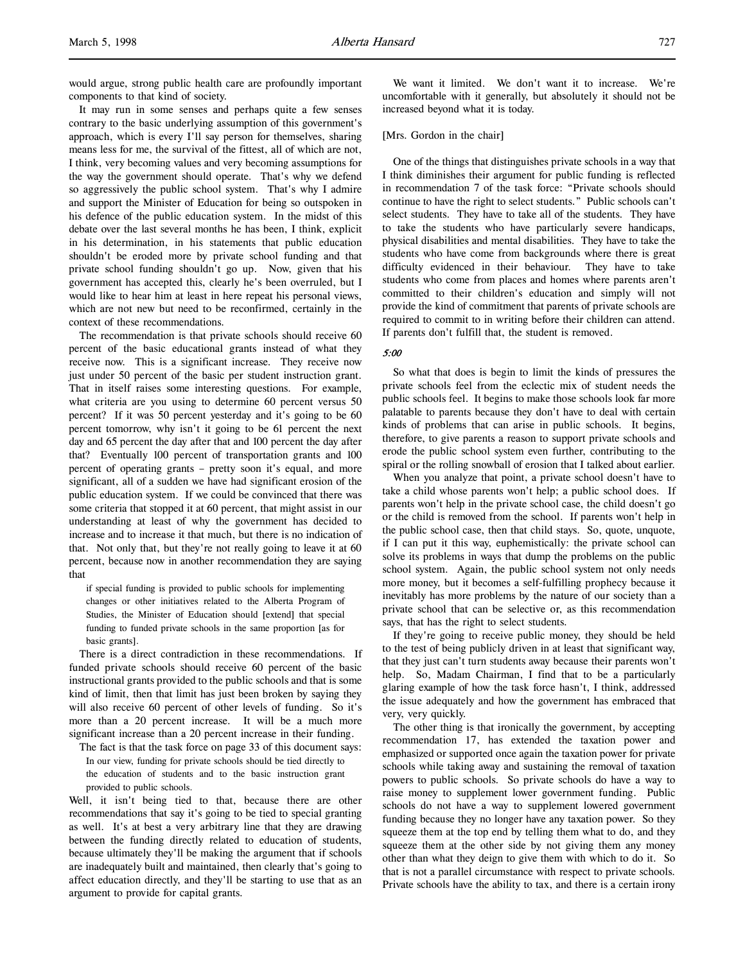would argue, strong public health care are profoundly important components to that kind of society.

It may run in some senses and perhaps quite a few senses contrary to the basic underlying assumption of this government's approach, which is every I'll say person for themselves, sharing means less for me, the survival of the fittest, all of which are not, I think, very becoming values and very becoming assumptions for the way the government should operate. That's why we defend so aggressively the public school system. That's why I admire and support the Minister of Education for being so outspoken in his defence of the public education system. In the midst of this debate over the last several months he has been, I think, explicit in his determination, in his statements that public education shouldn't be eroded more by private school funding and that private school funding shouldn't go up. Now, given that his government has accepted this, clearly he's been overruled, but I would like to hear him at least in here repeat his personal views, which are not new but need to be reconfirmed, certainly in the context of these recommendations.

The recommendation is that private schools should receive 60 percent of the basic educational grants instead of what they receive now. This is a significant increase. They receive now just under 50 percent of the basic per student instruction grant. That in itself raises some interesting questions. For example, what criteria are you using to determine 60 percent versus 50 percent? If it was 50 percent yesterday and it's going to be 60 percent tomorrow, why isn't it going to be 61 percent the next day and 65 percent the day after that and 100 percent the day after that? Eventually 100 percent of transportation grants and 100 percent of operating grants – pretty soon it's equal, and more significant, all of a sudden we have had significant erosion of the public education system. If we could be convinced that there was some criteria that stopped it at 60 percent, that might assist in our understanding at least of why the government has decided to increase and to increase it that much, but there is no indication of that. Not only that, but they're not really going to leave it at 60 percent, because now in another recommendation they are saying that

if special funding is provided to public schools for implementing changes or other initiatives related to the Alberta Program of Studies, the Minister of Education should [extend] that special funding to funded private schools in the same proportion [as for basic grants].

There is a direct contradiction in these recommendations. If funded private schools should receive 60 percent of the basic instructional grants provided to the public schools and that is some kind of limit, then that limit has just been broken by saying they will also receive 60 percent of other levels of funding. So it's more than a 20 percent increase. It will be a much more significant increase than a 20 percent increase in their funding.

The fact is that the task force on page 33 of this document says: In our view, funding for private schools should be tied directly to the education of students and to the basic instruction grant provided to public schools.

Well, it isn't being tied to that, because there are other recommendations that say it's going to be tied to special granting as well. It's at best a very arbitrary line that they are drawing between the funding directly related to education of students, because ultimately they'll be making the argument that if schools are inadequately built and maintained, then clearly that's going to affect education directly, and they'll be starting to use that as an argument to provide for capital grants.

We want it limited. We don't want it to increase. We're uncomfortable with it generally, but absolutely it should not be increased beyond what it is today.

#### [Mrs. Gordon in the chair]

One of the things that distinguishes private schools in a way that I think diminishes their argument for public funding is reflected in recommendation 7 of the task force: "Private schools should continue to have the right to select students." Public schools can't select students. They have to take all of the students. They have to take the students who have particularly severe handicaps, physical disabilities and mental disabilities. They have to take the students who have come from backgrounds where there is great difficulty evidenced in their behaviour. They have to take students who come from places and homes where parents aren't committed to their children's education and simply will not provide the kind of commitment that parents of private schools are required to commit to in writing before their children can attend. If parents don't fulfill that, the student is removed.

# 5:00

So what that does is begin to limit the kinds of pressures the private schools feel from the eclectic mix of student needs the public schools feel. It begins to make those schools look far more palatable to parents because they don't have to deal with certain kinds of problems that can arise in public schools. It begins, therefore, to give parents a reason to support private schools and erode the public school system even further, contributing to the spiral or the rolling snowball of erosion that I talked about earlier.

When you analyze that point, a private school doesn't have to take a child whose parents won't help; a public school does. If parents won't help in the private school case, the child doesn't go or the child is removed from the school. If parents won't help in the public school case, then that child stays. So, quote, unquote, if I can put it this way, euphemistically: the private school can solve its problems in ways that dump the problems on the public school system. Again, the public school system not only needs more money, but it becomes a self-fulfilling prophecy because it inevitably has more problems by the nature of our society than a private school that can be selective or, as this recommendation says, that has the right to select students.

If they're going to receive public money, they should be held to the test of being publicly driven in at least that significant way, that they just can't turn students away because their parents won't help. So, Madam Chairman, I find that to be a particularly glaring example of how the task force hasn't, I think, addressed the issue adequately and how the government has embraced that very, very quickly.

The other thing is that ironically the government, by accepting recommendation 17, has extended the taxation power and emphasized or supported once again the taxation power for private schools while taking away and sustaining the removal of taxation powers to public schools. So private schools do have a way to raise money to supplement lower government funding. Public schools do not have a way to supplement lowered government funding because they no longer have any taxation power. So they squeeze them at the top end by telling them what to do, and they squeeze them at the other side by not giving them any money other than what they deign to give them with which to do it. So that is not a parallel circumstance with respect to private schools. Private schools have the ability to tax, and there is a certain irony